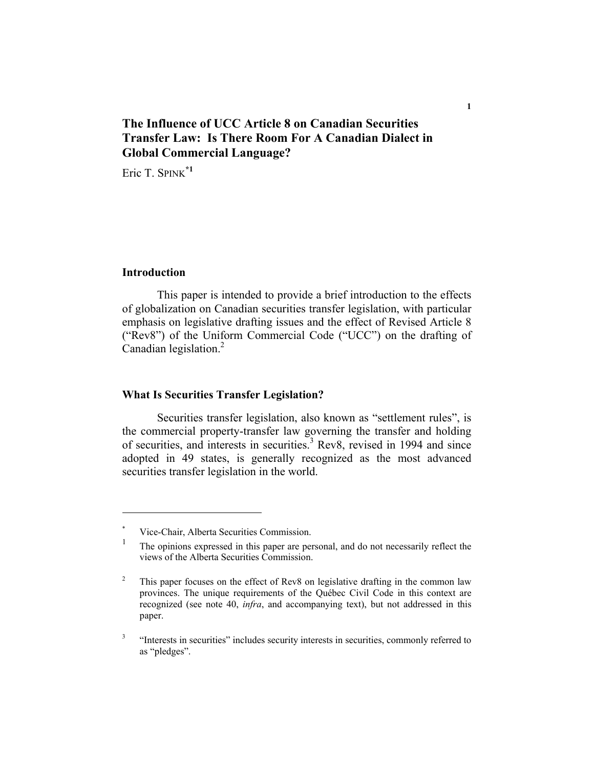# **The Influence of UCC Article 8 on Canadian Securities Transfer Law: Is There Room For A Canadian Dialect in Global Commercial Language?**

Eric T. SPINK<sup>\*1</sup>

## **Introduction**

This paper is intended to provide a brief introduction to the effects of globalization on Canadian securities transfer legislation, with particular emphasis on legislative drafting issues and the effect of Revised Article 8 ("Rev8") of the Uniform Commercial Code ("UCC") on the drafting of Canadian legislation.<sup>2</sup>

## **What Is Securities Transfer Legislation?**

Securities transfer legislation, also known as "settlement rules", is the commercial property-transfer law governing the transfer and holding of securities, and interests in securities.<sup>3</sup> Rev8, revised in 1994 and since adopted in 49 states, is generally recognized as the most advanced securities transfer legislation in the world.

<sup>\*</sup> Vice-Chair, Alberta Securities Commission.

<sup>1</sup> The opinions expressed in this paper are personal, and do not necessarily reflect the views of the Alberta Securities Commission.

<sup>2</sup> This paper focuses on the effect of Rev8 on legislative drafting in the common law provinces. The unique requirements of the Québec Civil Code in this context are recognized (see note 40, *infra*, and accompanying text), but not addressed in this paper.

<sup>3</sup> "Interests in securities" includes security interests in securities, commonly referred to as "pledges".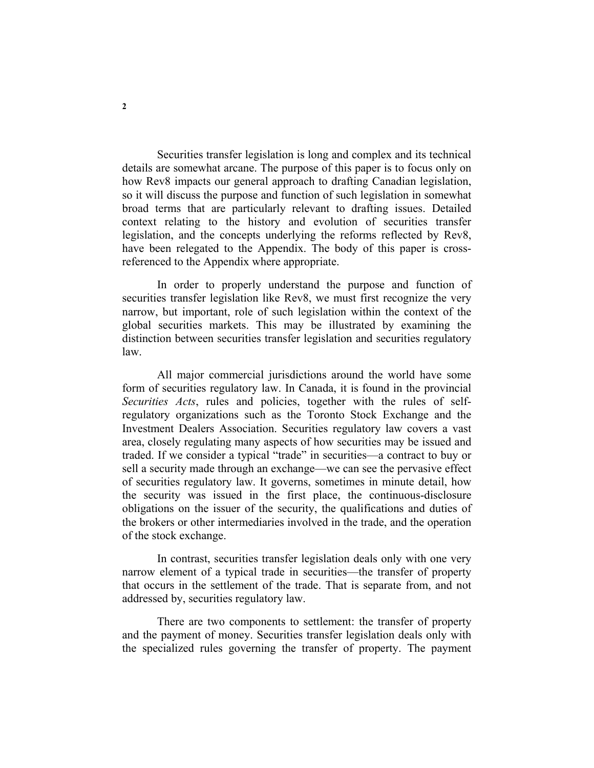Securities transfer legislation is long and complex and its technical details are somewhat arcane. The purpose of this paper is to focus only on how Rev8 impacts our general approach to drafting Canadian legislation, so it will discuss the purpose and function of such legislation in somewhat broad terms that are particularly relevant to drafting issues. Detailed context relating to the history and evolution of securities transfer legislation, and the concepts underlying the reforms reflected by Rev8, have been relegated to the Appendix. The body of this paper is crossreferenced to the Appendix where appropriate.

In order to properly understand the purpose and function of securities transfer legislation like Rev8, we must first recognize the very narrow, but important, role of such legislation within the context of the global securities markets. This may be illustrated by examining the distinction between securities transfer legislation and securities regulatory law.

All major commercial jurisdictions around the world have some form of securities regulatory law. In Canada, it is found in the provincial *Securities Acts*, rules and policies, together with the rules of selfregulatory organizations such as the Toronto Stock Exchange and the Investment Dealers Association. Securities regulatory law covers a vast area, closely regulating many aspects of how securities may be issued and traded. If we consider a typical "trade" in securities—a contract to buy or sell a security made through an exchange—we can see the pervasive effect of securities regulatory law. It governs, sometimes in minute detail, how the security was issued in the first place, the continuous-disclosure obligations on the issuer of the security, the qualifications and duties of the brokers or other intermediaries involved in the trade, and the operation of the stock exchange.

In contrast, securities transfer legislation deals only with one very narrow element of a typical trade in securities—the transfer of property that occurs in the settlement of the trade. That is separate from, and not addressed by, securities regulatory law.

There are two components to settlement: the transfer of property and the payment of money. Securities transfer legislation deals only with the specialized rules governing the transfer of property. The payment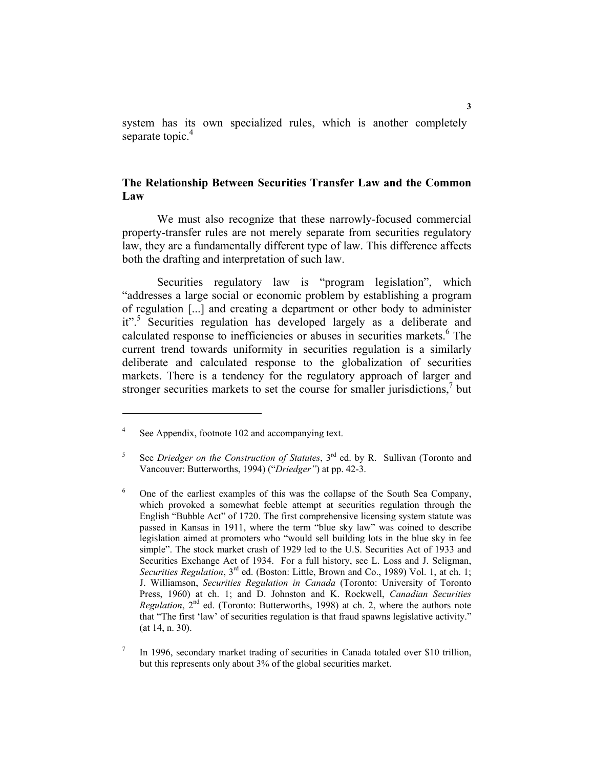system has its own specialized rules, which is another completely separate topic.<sup>4</sup>

## **The Relationship Between Securities Transfer Law and the Common Law**

We must also recognize that these narrowly-focused commercial property-transfer rules are not merely separate from securities regulatory law, they are a fundamentally different type of law. This difference affects both the drafting and interpretation of such law.

Securities regulatory law is "program legislation", which "addresses a large social or economic problem by establishing a program of regulation [...] and creating a department or other body to administer it".<sup>5</sup> Securities regulation has developed largely as a deliberate and calculated response to inefficiencies or abuses in securities markets.<sup>6</sup> The current trend towards uniformity in securities regulation is a similarly deliberate and calculated response to the globalization of securities markets. There is a tendency for the regulatory approach of larger and stronger securities markets to set the course for smaller jurisdictions, $<sup>7</sup>$  but</sup>

<sup>4</sup> See Appendix, footnote 102 and accompanying text.

<sup>5</sup> See *Driedger on the Construction of Statutes*, 3<sup>rd</sup> ed. by R. Sullivan (Toronto and Vancouver: Butterworths, 1994) ("*Driedger"*) at pp. 42-3.

<sup>6</sup> One of the earliest examples of this was the collapse of the South Sea Company, which provoked a somewhat feeble attempt at securities regulation through the English "Bubble Act" of 1720. The first comprehensive licensing system statute was passed in Kansas in 1911, where the term "blue sky law" was coined to describe legislation aimed at promoters who "would sell building lots in the blue sky in fee simple". The stock market crash of 1929 led to the U.S. Securities Act of 1933 and Securities Exchange Act of 1934. For a full history, see L. Loss and J. Seligman, *Securities Regulation*, 3<sup>rd</sup> ed. (Boston: Little, Brown and Co., 1989) Vol. 1, at ch. 1; J. Williamson, *Securities Regulation in Canada* (Toronto: University of Toronto Press, 1960) at ch. 1; and D. Johnston and K. Rockwell, *Canadian Securities Regulation*,  $2<sup>nd</sup>$  ed. (Toronto: Butterworths, 1998) at ch. 2, where the authors note that "The first 'law' of securities regulation is that fraud spawns legislative activity." (at 14, n. 30).

<sup>7</sup> In 1996, secondary market trading of securities in Canada totaled over \$10 trillion, but this represents only about 3% of the global securities market.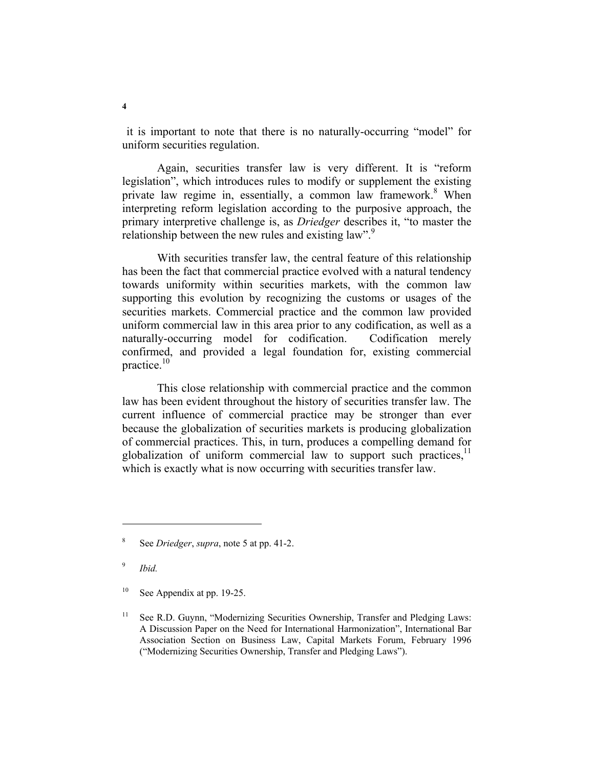it is important to note that there is no naturally-occurring "model" for uniform securities regulation.

Again, securities transfer law is very different. It is "reform legislation", which introduces rules to modify or supplement the existing private law regime in, essentially, a common law framework.<sup>8</sup> When interpreting reform legislation according to the purposive approach, the primary interpretive challenge is, as *Driedger* describes it, "to master the relationship between the new rules and existing law".<sup>9</sup>

With securities transfer law, the central feature of this relationship has been the fact that commercial practice evolved with a natural tendency towards uniformity within securities markets, with the common law supporting this evolution by recognizing the customs or usages of the securities markets. Commercial practice and the common law provided uniform commercial law in this area prior to any codification, as well as a naturally-occurring model for codification. Codification merely confirmed, and provided a legal foundation for, existing commercial practice.<sup>10</sup>

This close relationship with commercial practice and the common law has been evident throughout the history of securities transfer law. The current influence of commercial practice may be stronger than ever because the globalization of securities markets is producing globalization of commercial practices. This, in turn, produces a compelling demand for globalization of uniform commercial law to support such practices, $<sup>11</sup>$ </sup> which is exactly what is now occurring with securities transfer law.

9  *Ibid.*

 $10$  See Appendix at pp. 19-25.

<sup>8</sup> See *Driedger*, *supra*, note 5 at pp. 41-2.

<sup>&</sup>lt;sup>11</sup> See R.D. Guynn, "Modernizing Securities Ownership, Transfer and Pledging Laws: A Discussion Paper on the Need for International Harmonization", International Bar Association Section on Business Law, Capital Markets Forum, February 1996 ("Modernizing Securities Ownership, Transfer and Pledging Laws").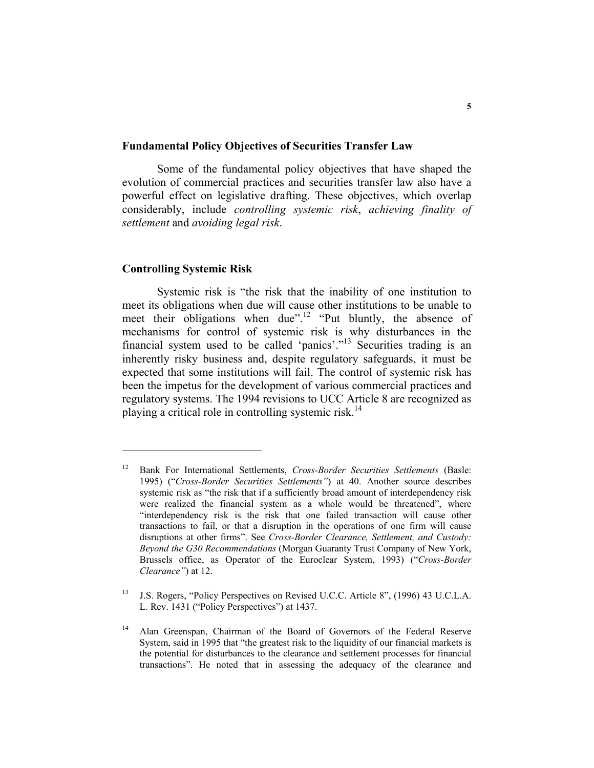#### **Fundamental Policy Objectives of Securities Transfer Law**

Some of the fundamental policy objectives that have shaped the evolution of commercial practices and securities transfer law also have a powerful effect on legislative drafting. These objectives, which overlap considerably, include *controlling systemic risk*, *achieving finality of settlement* and *avoiding legal risk*.

## **Controlling Systemic Risk**

Systemic risk is "the risk that the inability of one institution to meet its obligations when due will cause other institutions to be unable to meet their obligations when due".<sup>12</sup> "Put bluntly, the absence of mechanisms for control of systemic risk is why disturbances in the financial system used to be called 'panics'."13 Securities trading is an inherently risky business and, despite regulatory safeguards, it must be expected that some institutions will fail. The control of systemic risk has been the impetus for the development of various commercial practices and regulatory systems. The 1994 revisions to UCC Article 8 are recognized as playing a critical role in controlling systemic risk.<sup>14</sup>

<sup>12</sup> Bank For International Settlements, *Cross-Border Securities Settlements* (Basle: 1995) ("*Cross-Border Securities Settlements"*) at 40. Another source describes systemic risk as "the risk that if a sufficiently broad amount of interdependency risk were realized the financial system as a whole would be threatened", where "interdependency risk is the risk that one failed transaction will cause other transactions to fail, or that a disruption in the operations of one firm will cause disruptions at other firms". See *Cross-Border Clearance, Settlement, and Custody: Beyond the G30 Recommendations* (Morgan Guaranty Trust Company of New York, Brussels office, as Operator of the Euroclear System, 1993) ("*Cross-Border Clearance"*) at 12.

<sup>&</sup>lt;sup>13</sup> J.S. Rogers, "Policy Perspectives on Revised U.C.C. Article 8", (1996) 43 U.C.L.A. L. Rev. 1431 ("Policy Perspectives") at 1437.

<sup>&</sup>lt;sup>14</sup> Alan Greenspan, Chairman of the Board of Governors of the Federal Reserve System, said in 1995 that "the greatest risk to the liquidity of our financial markets is the potential for disturbances to the clearance and settlement processes for financial transactions". He noted that in assessing the adequacy of the clearance and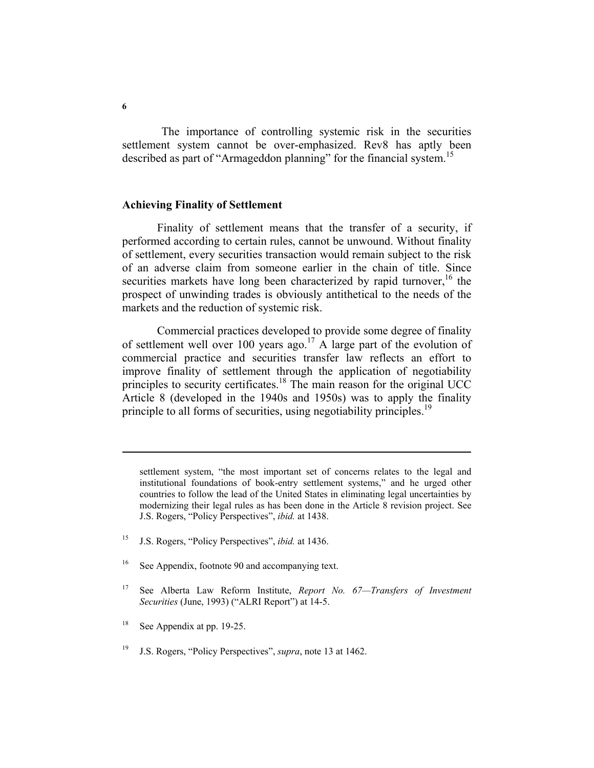The importance of controlling systemic risk in the securities settlement system cannot be over-emphasized. Rev8 has aptly been described as part of "Armageddon planning" for the financial system.<sup>15</sup>

### **Achieving Finality of Settlement**

Finality of settlement means that the transfer of a security, if performed according to certain rules, cannot be unwound. Without finality of settlement, every securities transaction would remain subject to the risk of an adverse claim from someone earlier in the chain of title. Since securities markets have long been characterized by rapid turnover,  $16$  the prospect of unwinding trades is obviously antithetical to the needs of the markets and the reduction of systemic risk.

Commercial practices developed to provide some degree of finality of settlement well over 100 years ago.<sup>17</sup> A large part of the evolution of commercial practice and securities transfer law reflects an effort to improve finality of settlement through the application of negotiability principles to security certificates.<sup>18</sup> The main reason for the original UCC Article 8 (developed in the 1940s and 1950s) was to apply the finality principle to all forms of securities, using negotiability principles.<sup>19</sup>

- 15 J.S. Rogers, "Policy Perspectives", *ibid.* at 1436.
- <sup>16</sup> See Appendix, footnote 90 and accompanying text.
- 17 See Alberta Law Reform Institute, *Report No. 67—Transfers of Investment Securities* (June, 1993) ("ALRI Report") at 14-5.
- <sup>18</sup> See Appendix at pp. 19-25.
- 19 J.S. Rogers, "Policy Perspectives", *supra*, note 13 at 1462.

settlement system, "the most important set of concerns relates to the legal and institutional foundations of book-entry settlement systems," and he urged other countries to follow the lead of the United States in eliminating legal uncertainties by modernizing their legal rules as has been done in the Article 8 revision project. See J.S. Rogers, "Policy Perspectives", *ibid.* at 1438.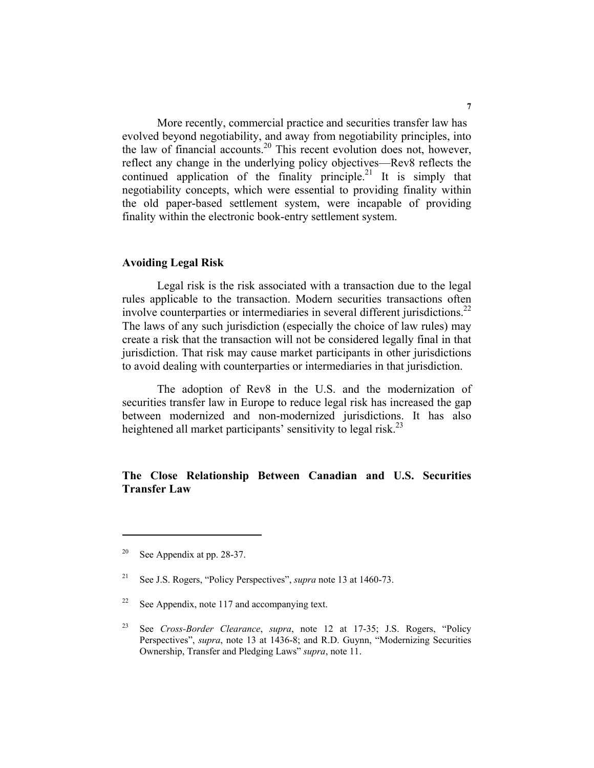More recently, commercial practice and securities transfer law has evolved beyond negotiability, and away from negotiability principles, into the law of financial accounts.<sup>20</sup> This recent evolution does not, however, reflect any change in the underlying policy objectives—Rev8 reflects the continued application of the finality principle.<sup>21</sup> It is simply that negotiability concepts, which were essential to providing finality within the old paper-based settlement system, were incapable of providing finality within the electronic book-entry settlement system.

## **Avoiding Legal Risk**

Legal risk is the risk associated with a transaction due to the legal rules applicable to the transaction. Modern securities transactions often involve counterparties or intermediaries in several different jurisdictions.<sup>22</sup> The laws of any such jurisdiction (especially the choice of law rules) may create a risk that the transaction will not be considered legally final in that jurisdiction. That risk may cause market participants in other jurisdictions to avoid dealing with counterparties or intermediaries in that jurisdiction.

The adoption of Rev8 in the U.S. and the modernization of securities transfer law in Europe to reduce legal risk has increased the gap between modernized and non-modernized jurisdictions. It has also heightened all market participants' sensitivity to legal risk.<sup>23</sup>

## **The Close Relationship Between Canadian and U.S. Securities Transfer Law**

<sup>&</sup>lt;sup>20</sup> See Appendix at pp. 28-37.

<sup>21</sup> See J.S. Rogers, "Policy Perspectives", *supra* note 13 at 1460-73.

 $22$  See Appendix, note 117 and accompanying text.

<sup>23</sup> See *Cross-Border Clearance*, *supra*, note 12 at 17-35; J.S. Rogers, "Policy Perspectives", *supra*, note 13 at 1436-8; and R.D. Guynn, "Modernizing Securities Ownership, Transfer and Pledging Laws" *supra*, note 11.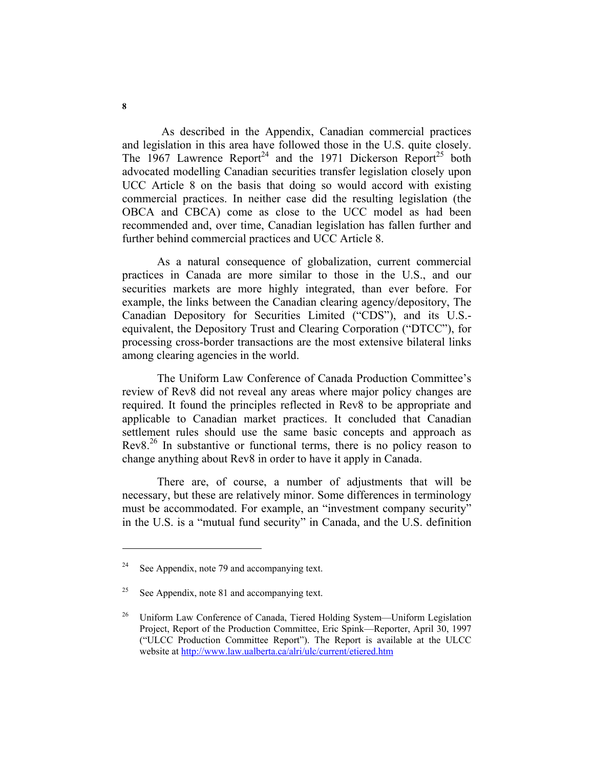As described in the Appendix, Canadian commercial practices and legislation in this area have followed those in the U.S. quite closely. The 1967 Lawrence Report<sup>24</sup> and the 1971 Dickerson Report<sup>25</sup> both advocated modelling Canadian securities transfer legislation closely upon UCC Article 8 on the basis that doing so would accord with existing commercial practices. In neither case did the resulting legislation (the OBCA and CBCA) come as close to the UCC model as had been recommended and, over time, Canadian legislation has fallen further and further behind commercial practices and UCC Article 8.

As a natural consequence of globalization, current commercial practices in Canada are more similar to those in the U.S., and our securities markets are more highly integrated, than ever before. For example, the links between the Canadian clearing agency/depository, The Canadian Depository for Securities Limited ("CDS"), and its U.S. equivalent, the Depository Trust and Clearing Corporation ("DTCC"), for processing cross-border transactions are the most extensive bilateral links among clearing agencies in the world.

The Uniform Law Conference of Canada Production Committee's review of Rev8 did not reveal any areas where major policy changes are required. It found the principles reflected in Rev8 to be appropriate and applicable to Canadian market practices. It concluded that Canadian settlement rules should use the same basic concepts and approach as Rev8.<sup>26</sup> In substantive or functional terms, there is no policy reason to change anything about Rev8 in order to have it apply in Canada.

There are, of course, a number of adjustments that will be necessary, but these are relatively minor. Some differences in terminology must be accommodated. For example, an "investment company security" in the U.S. is a "mutual fund security" in Canada, and the U.S. definition

 $24$  See Appendix, note 79 and accompanying text.

<sup>&</sup>lt;sup>25</sup> See Appendix, note 81 and accompanying text.

<sup>&</sup>lt;sup>26</sup> Uniform Law Conference of Canada, Tiered Holding System—Uniform Legislation Project, Report of the Production Committee, Eric Spink—Reporter, April 30, 1997 ("ULCC Production Committee Report"). The Report is available at the ULCC website at http://www.law.ualberta.ca/alri/ulc/current/etiered.htm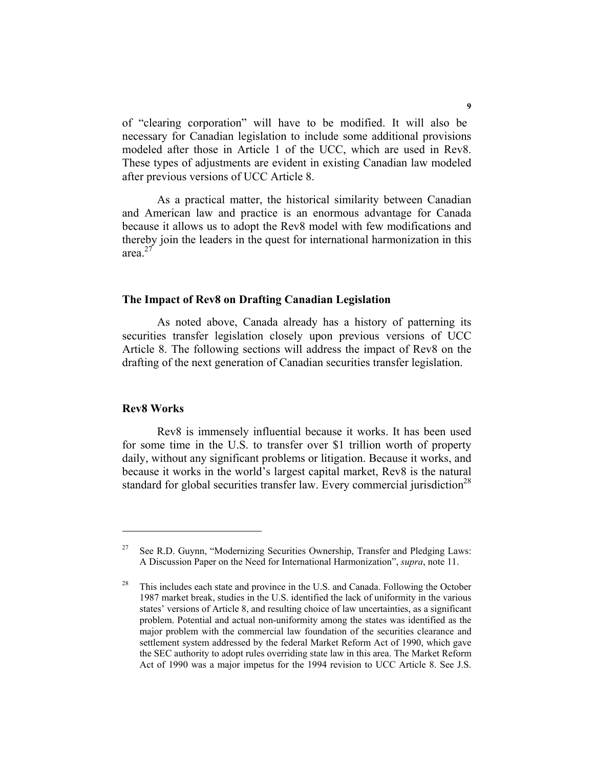of "clearing corporation" will have to be modified. It will also be necessary for Canadian legislation to include some additional provisions modeled after those in Article 1 of the UCC, which are used in Rev8. These types of adjustments are evident in existing Canadian law modeled after previous versions of UCC Article 8.

As a practical matter, the historical similarity between Canadian and American law and practice is an enormous advantage for Canada because it allows us to adopt the Rev8 model with few modifications and thereby join the leaders in the quest for international harmonization in this area. $27$ 

### **The Impact of Rev8 on Drafting Canadian Legislation**

As noted above, Canada already has a history of patterning its securities transfer legislation closely upon previous versions of UCC Article 8. The following sections will address the impact of Rev8 on the drafting of the next generation of Canadian securities transfer legislation.

#### **Rev8 Works**

Rev8 is immensely influential because it works. It has been used for some time in the U.S. to transfer over \$1 trillion worth of property daily, without any significant problems or litigation. Because it works, and because it works in the world's largest capital market, Rev8 is the natural standard for global securities transfer law. Every commercial jurisdiction<sup>28</sup>

<sup>&</sup>lt;sup>27</sup> See R.D. Guynn, "Modernizing Securities Ownership, Transfer and Pledging Laws: A Discussion Paper on the Need for International Harmonization", *supra*, note 11.

 $28$  This includes each state and province in the U.S. and Canada. Following the October 1987 market break, studies in the U.S. identified the lack of uniformity in the various states' versions of Article 8, and resulting choice of law uncertainties, as a significant problem. Potential and actual non-uniformity among the states was identified as the major problem with the commercial law foundation of the securities clearance and settlement system addressed by the federal Market Reform Act of 1990, which gave the SEC authority to adopt rules overriding state law in this area. The Market Reform Act of 1990 was a major impetus for the 1994 revision to UCC Article 8. See J.S.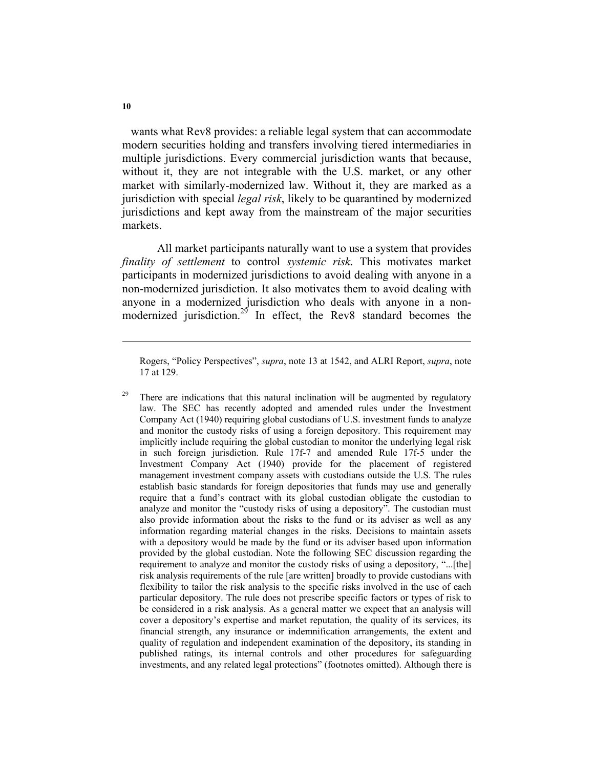wants what Rev8 provides: a reliable legal system that can accommodate modern securities holding and transfers involving tiered intermediaries in multiple jurisdictions. Every commercial jurisdiction wants that because, without it, they are not integrable with the U.S. market, or any other market with similarly-modernized law. Without it, they are marked as a jurisdiction with special *legal risk*, likely to be quarantined by modernized jurisdictions and kept away from the mainstream of the major securities markets.

All market participants naturally want to use a system that provides *finality of settlement* to control *systemic risk*. This motivates market participants in modernized jurisdictions to avoid dealing with anyone in a non-modernized jurisdiction. It also motivates them to avoid dealing with anyone in a modernized jurisdiction who deals with anyone in a nonmodernized jurisdiction.<sup>29</sup> In effect, the Rev8 standard becomes the

Rogers, "Policy Perspectives", *supra*, note 13 at 1542, and ALRI Report, *supra*, note 17 at 129.

<sup>&</sup>lt;sup>29</sup> There are indications that this natural inclination will be augmented by regulatory law. The SEC has recently adopted and amended rules under the Investment Company Act (1940) requiring global custodians of U.S. investment funds to analyze and monitor the custody risks of using a foreign depository. This requirement may implicitly include requiring the global custodian to monitor the underlying legal risk in such foreign jurisdiction. Rule 17f-7 and amended Rule 17f-5 under the Investment Company Act (1940) provide for the placement of registered management investment company assets with custodians outside the U.S. The rules establish basic standards for foreign depositories that funds may use and generally require that a fund's contract with its global custodian obligate the custodian to analyze and monitor the "custody risks of using a depository". The custodian must also provide information about the risks to the fund or its adviser as well as any information regarding material changes in the risks. Decisions to maintain assets with a depository would be made by the fund or its adviser based upon information provided by the global custodian. Note the following SEC discussion regarding the requirement to analyze and monitor the custody risks of using a depository, "...[the] risk analysis requirements of the rule [are written] broadly to provide custodians with flexibility to tailor the risk analysis to the specific risks involved in the use of each particular depository. The rule does not prescribe specific factors or types of risk to be considered in a risk analysis. As a general matter we expect that an analysis will cover a depository's expertise and market reputation, the quality of its services, its financial strength, any insurance or indemnification arrangements, the extent and quality of regulation and independent examination of the depository, its standing in published ratings, its internal controls and other procedures for safeguarding investments, and any related legal protections" (footnotes omitted). Although there is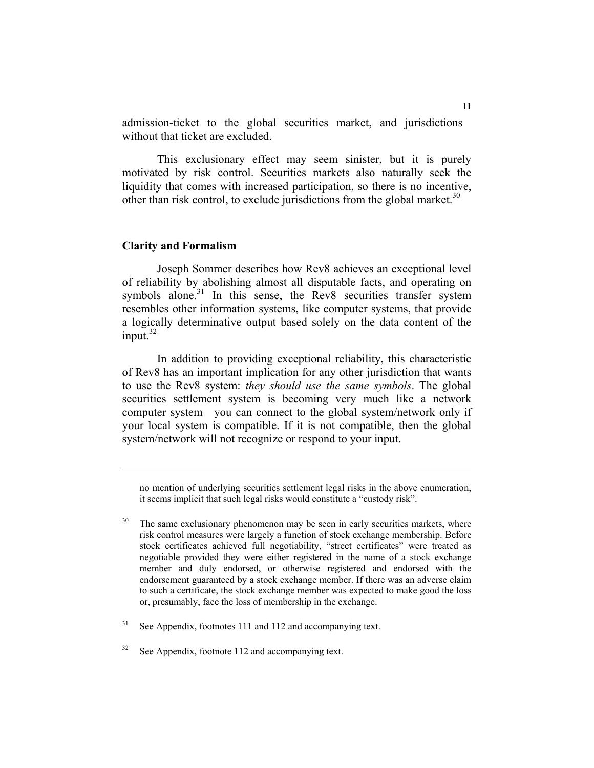admission-ticket to the global securities market, and jurisdictions without that ticket are excluded.

This exclusionary effect may seem sinister, but it is purely motivated by risk control. Securities markets also naturally seek the liquidity that comes with increased participation, so there is no incentive, other than risk control, to exclude jurisdictions from the global market.<sup>30</sup>

### **Clarity and Formalism**

Joseph Sommer describes how Rev8 achieves an exceptional level of reliability by abolishing almost all disputable facts, and operating on symbols alone.<sup>31</sup> In this sense, the Rev8 securities transfer system resembles other information systems, like computer systems, that provide a logically determinative output based solely on the data content of the input. $32$ 

In addition to providing exceptional reliability, this characteristic of Rev8 has an important implication for any other jurisdiction that wants to use the Rev8 system: *they should use the same symbols*. The global securities settlement system is becoming very much like a network computer system—you can connect to the global system/network only if your local system is compatible. If it is not compatible, then the global system/network will not recognize or respond to your input.

no mention of underlying securities settlement legal risks in the above enumeration, it seems implicit that such legal risks would constitute a "custody risk".

 $30$  The same exclusionary phenomenon may be seen in early securities markets, where risk control measures were largely a function of stock exchange membership. Before stock certificates achieved full negotiability, "street certificates" were treated as negotiable provided they were either registered in the name of a stock exchange member and duly endorsed, or otherwise registered and endorsed with the endorsement guaranteed by a stock exchange member. If there was an adverse claim to such a certificate, the stock exchange member was expected to make good the loss or, presumably, face the loss of membership in the exchange.

 $31$  See Appendix, footnotes 111 and 112 and accompanying text.

 $32$  See Appendix, footnote 112 and accompanying text.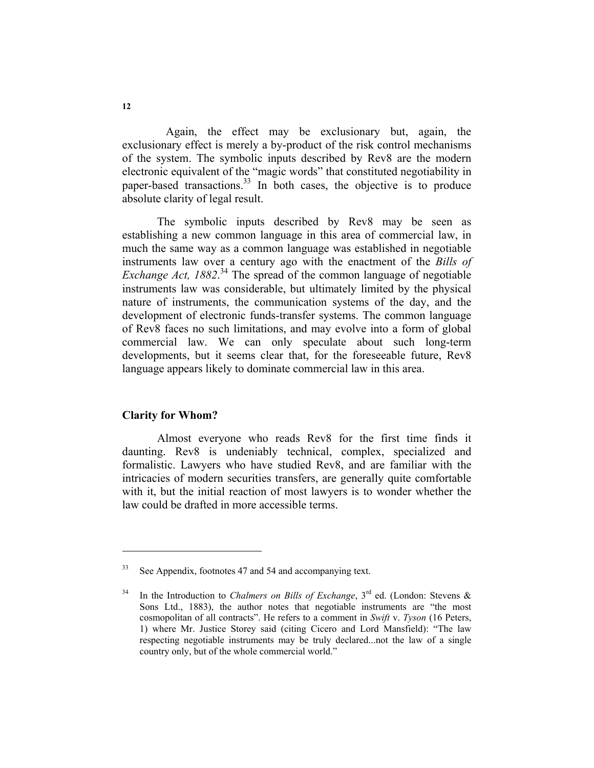Again, the effect may be exclusionary but, again, the exclusionary effect is merely a by-product of the risk control mechanisms of the system. The symbolic inputs described by Rev8 are the modern electronic equivalent of the "magic words" that constituted negotiability in paper-based transactions.<sup>33</sup> In both cases, the objective is to produce absolute clarity of legal result.

The symbolic inputs described by Rev8 may be seen as establishing a new common language in this area of commercial law, in much the same way as a common language was established in negotiable instruments law over a century ago with the enactment of the *Bills of Exchange Act, 1882*. 34 The spread of the common language of negotiable instruments law was considerable, but ultimately limited by the physical nature of instruments, the communication systems of the day, and the development of electronic funds-transfer systems. The common language of Rev8 faces no such limitations, and may evolve into a form of global commercial law. We can only speculate about such long-term developments, but it seems clear that, for the foreseeable future, Rev8 language appears likely to dominate commercial law in this area.

## **Clarity for Whom?**

Almost everyone who reads Rev8 for the first time finds it daunting. Rev8 is undeniably technical, complex, specialized and formalistic. Lawyers who have studied Rev8, and are familiar with the intricacies of modern securities transfers, are generally quite comfortable with it, but the initial reaction of most lawyers is to wonder whether the law could be drafted in more accessible terms.

<sup>&</sup>lt;sup>33</sup> See Appendix, footnotes 47 and 54 and accompanying text.

<sup>&</sup>lt;sup>34</sup> In the Introduction to *Chalmers on Bills of Exchange*,  $3<sup>rd</sup>$  ed. (London: Stevens & Sons Ltd., 1883), the author notes that negotiable instruments are "the most cosmopolitan of all contracts". He refers to a comment in *Swift* v. *Tyson* (16 Peters, 1) where Mr. Justice Storey said (citing Cicero and Lord Mansfield): "The law respecting negotiable instruments may be truly declared...not the law of a single country only, but of the whole commercial world."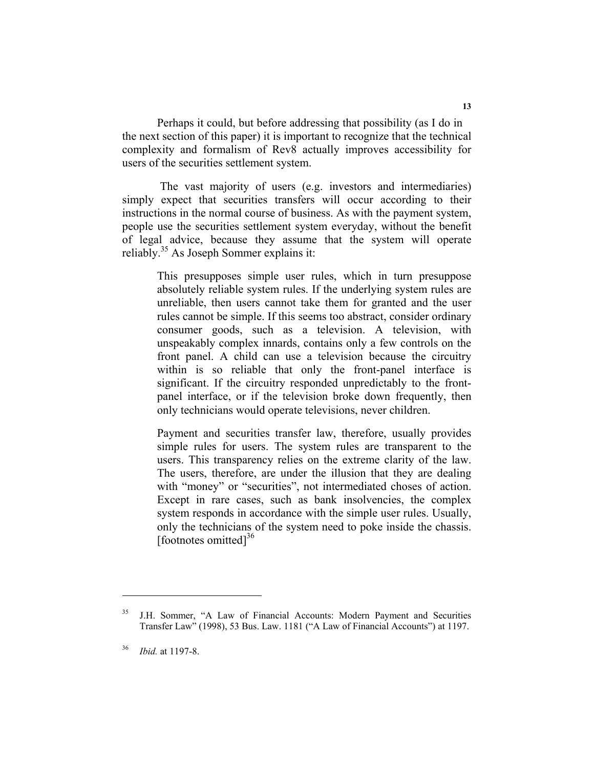Perhaps it could, but before addressing that possibility (as I do in the next section of this paper) it is important to recognize that the technical complexity and formalism of Rev8 actually improves accessibility for users of the securities settlement system.

 The vast majority of users (e.g. investors and intermediaries) simply expect that securities transfers will occur according to their instructions in the normal course of business. As with the payment system, people use the securities settlement system everyday, without the benefit of legal advice, because they assume that the system will operate reliably.<sup>35</sup> As Joseph Sommer explains it:

This presupposes simple user rules, which in turn presuppose absolutely reliable system rules. If the underlying system rules are unreliable, then users cannot take them for granted and the user rules cannot be simple. If this seems too abstract, consider ordinary consumer goods, such as a television. A television, with unspeakably complex innards, contains only a few controls on the front panel. A child can use a television because the circuitry within is so reliable that only the front-panel interface is significant. If the circuitry responded unpredictably to the frontpanel interface, or if the television broke down frequently, then only technicians would operate televisions, never children.

Payment and securities transfer law, therefore, usually provides simple rules for users. The system rules are transparent to the users. This transparency relies on the extreme clarity of the law. The users, therefore, are under the illusion that they are dealing with "money" or "securities", not intermediated choses of action. Except in rare cases, such as bank insolvencies, the complex system responds in accordance with the simple user rules. Usually, only the technicians of the system need to poke inside the chassis. [footnotes omitted] $36$ 

<sup>&</sup>lt;sup>35</sup> J.H. Sommer, "A Law of Financial Accounts: Modern Payment and Securities Transfer Law" (1998), 53 Bus. Law. 1181 ("A Law of Financial Accounts") at 1197.

<sup>36</sup> *Ibid.* at 1197-8.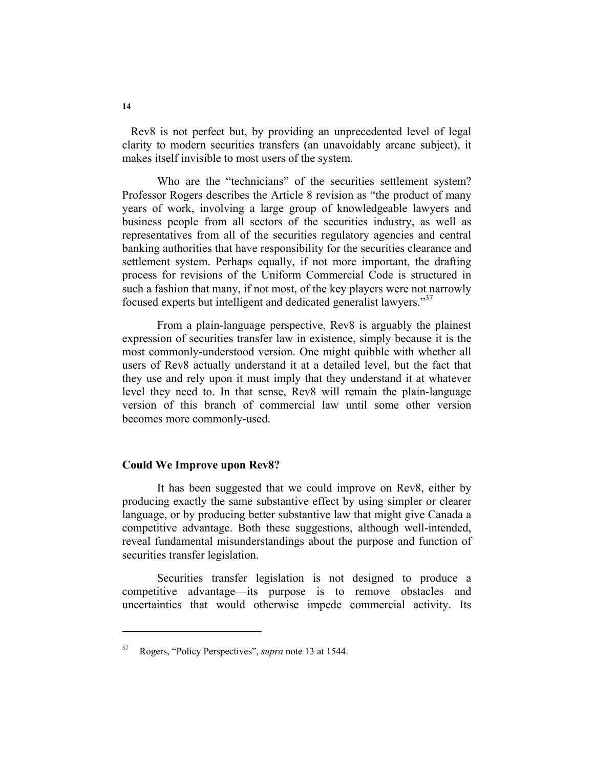Rev8 is not perfect but, by providing an unprecedented level of legal clarity to modern securities transfers (an unavoidably arcane subject), it makes itself invisible to most users of the system.

Who are the "technicians" of the securities settlement system? Professor Rogers describes the Article 8 revision as "the product of many years of work, involving a large group of knowledgeable lawyers and business people from all sectors of the securities industry, as well as representatives from all of the securities regulatory agencies and central banking authorities that have responsibility for the securities clearance and settlement system. Perhaps equally, if not more important, the drafting process for revisions of the Uniform Commercial Code is structured in such a fashion that many, if not most, of the key players were not narrowly focused experts but intelligent and dedicated generalist lawyers."37

From a plain-language perspective, Rev8 is arguably the plainest expression of securities transfer law in existence, simply because it is the most commonly-understood version. One might quibble with whether all users of Rev8 actually understand it at a detailed level, but the fact that they use and rely upon it must imply that they understand it at whatever level they need to. In that sense, Rev8 will remain the plain-language version of this branch of commercial law until some other version becomes more commonly-used.

#### **Could We Improve upon Rev8?**

It has been suggested that we could improve on Rev8, either by producing exactly the same substantive effect by using simpler or clearer language, or by producing better substantive law that might give Canada a competitive advantage. Both these suggestions, although well-intended, reveal fundamental misunderstandings about the purpose and function of securities transfer legislation.

Securities transfer legislation is not designed to produce a competitive advantage—its purpose is to remove obstacles and uncertainties that would otherwise impede commercial activity. Its

<sup>37</sup> Rogers, "Policy Perspectives", *supra* note 13 at 1544.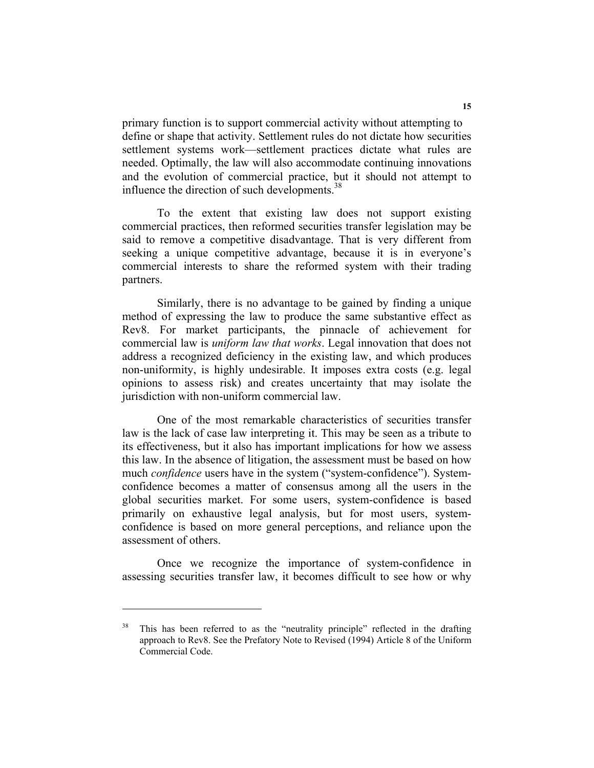primary function is to support commercial activity without attempting to define or shape that activity. Settlement rules do not dictate how securities settlement systems work—settlement practices dictate what rules are needed. Optimally, the law will also accommodate continuing innovations and the evolution of commercial practice, but it should not attempt to influence the direction of such developments.<sup>38</sup>

To the extent that existing law does not support existing commercial practices, then reformed securities transfer legislation may be said to remove a competitive disadvantage. That is very different from seeking a unique competitive advantage, because it is in everyone's commercial interests to share the reformed system with their trading partners.

Similarly, there is no advantage to be gained by finding a unique method of expressing the law to produce the same substantive effect as Rev8. For market participants, the pinnacle of achievement for commercial law is *uniform law that works*. Legal innovation that does not address a recognized deficiency in the existing law, and which produces non-uniformity, is highly undesirable. It imposes extra costs (e.g. legal opinions to assess risk) and creates uncertainty that may isolate the jurisdiction with non-uniform commercial law.

One of the most remarkable characteristics of securities transfer law is the lack of case law interpreting it. This may be seen as a tribute to its effectiveness, but it also has important implications for how we assess this law. In the absence of litigation, the assessment must be based on how much *confidence* users have in the system ("system-confidence"). Systemconfidence becomes a matter of consensus among all the users in the global securities market. For some users, system-confidence is based primarily on exhaustive legal analysis, but for most users, systemconfidence is based on more general perceptions, and reliance upon the assessment of others.

Once we recognize the importance of system-confidence in assessing securities transfer law, it becomes difficult to see how or why

<sup>&</sup>lt;sup>38</sup> This has been referred to as the "neutrality principle" reflected in the drafting approach to Rev8. See the Prefatory Note to Revised (1994) Article 8 of the Uniform Commercial Code.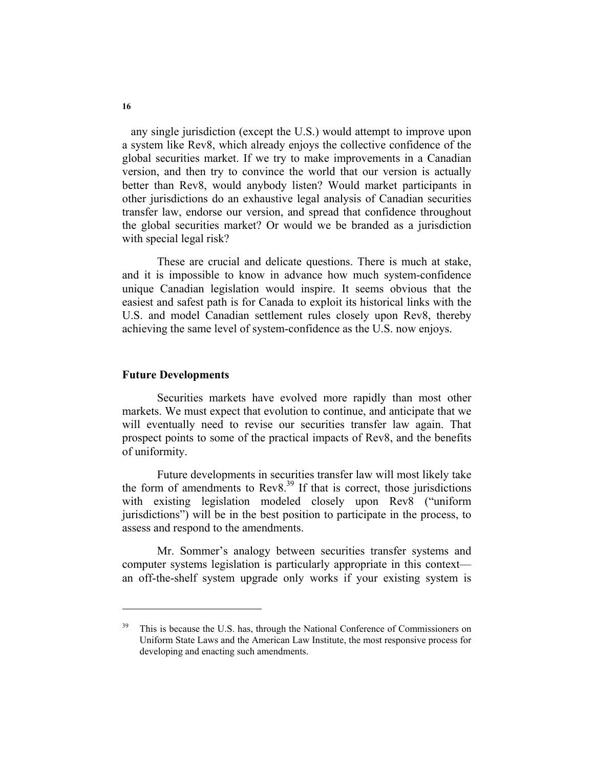any single jurisdiction (except the U.S.) would attempt to improve upon a system like Rev8, which already enjoys the collective confidence of the global securities market. If we try to make improvements in a Canadian version, and then try to convince the world that our version is actually better than Rev8, would anybody listen? Would market participants in other jurisdictions do an exhaustive legal analysis of Canadian securities transfer law, endorse our version, and spread that confidence throughout the global securities market? Or would we be branded as a jurisdiction with special legal risk?

These are crucial and delicate questions. There is much at stake, and it is impossible to know in advance how much system-confidence unique Canadian legislation would inspire. It seems obvious that the easiest and safest path is for Canada to exploit its historical links with the U.S. and model Canadian settlement rules closely upon Rev8, thereby achieving the same level of system-confidence as the U.S. now enjoys.

#### **Future Developments**

Securities markets have evolved more rapidly than most other markets. We must expect that evolution to continue, and anticipate that we will eventually need to revise our securities transfer law again. That prospect points to some of the practical impacts of Rev8, and the benefits of uniformity.

Future developments in securities transfer law will most likely take the form of amendments to  $\text{Rev8}^{39}$  If that is correct, those jurisdictions with existing legislation modeled closely upon Rev8 ("uniform jurisdictions") will be in the best position to participate in the process, to assess and respond to the amendments.

Mr. Sommer's analogy between securities transfer systems and computer systems legislation is particularly appropriate in this context an off-the-shelf system upgrade only works if your existing system is

<sup>&</sup>lt;sup>39</sup> This is because the U.S. has, through the National Conference of Commissioners on Uniform State Laws and the American Law Institute, the most responsive process for developing and enacting such amendments.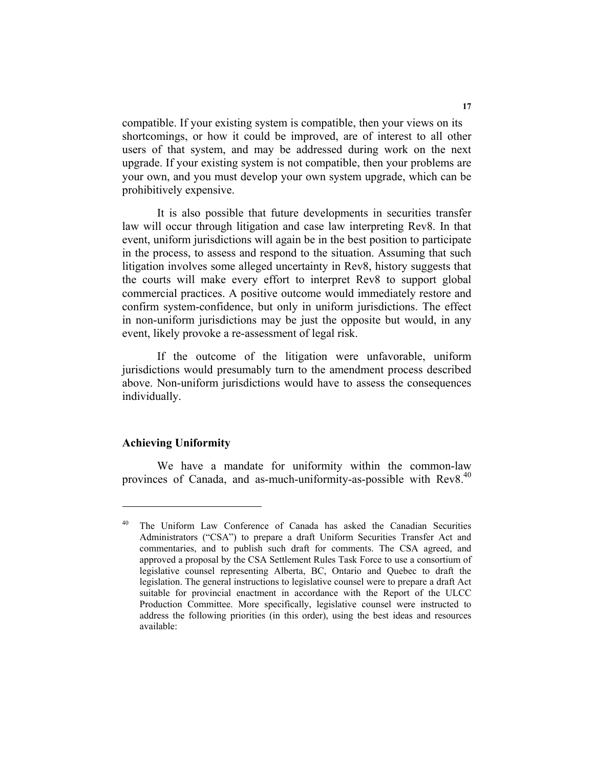compatible. If your existing system is compatible, then your views on its shortcomings, or how it could be improved, are of interest to all other users of that system, and may be addressed during work on the next upgrade. If your existing system is not compatible, then your problems are your own, and you must develop your own system upgrade, which can be prohibitively expensive.

It is also possible that future developments in securities transfer law will occur through litigation and case law interpreting Rev8. In that event, uniform jurisdictions will again be in the best position to participate in the process, to assess and respond to the situation. Assuming that such litigation involves some alleged uncertainty in Rev8, history suggests that the courts will make every effort to interpret Rev8 to support global commercial practices. A positive outcome would immediately restore and confirm system-confidence, but only in uniform jurisdictions. The effect in non-uniform jurisdictions may be just the opposite but would, in any event, likely provoke a re-assessment of legal risk.

If the outcome of the litigation were unfavorable, uniform jurisdictions would presumably turn to the amendment process described above. Non-uniform jurisdictions would have to assess the consequences individually.

### **Achieving Uniformity**

We have a mandate for uniformity within the common-law provinces of Canada, and as-much-uniformity-as-possible with Rev8.<sup>40</sup>

<sup>&</sup>lt;sup>40</sup> The Uniform Law Conference of Canada has asked the Canadian Securities Administrators ("CSA") to prepare a draft Uniform Securities Transfer Act and commentaries, and to publish such draft for comments. The CSA agreed, and approved a proposal by the CSA Settlement Rules Task Force to use a consortium of legislative counsel representing Alberta, BC, Ontario and Quebec to draft the legislation. The general instructions to legislative counsel were to prepare a draft Act suitable for provincial enactment in accordance with the Report of the ULCC Production Committee. More specifically, legislative counsel were instructed to address the following priorities (in this order), using the best ideas and resources available: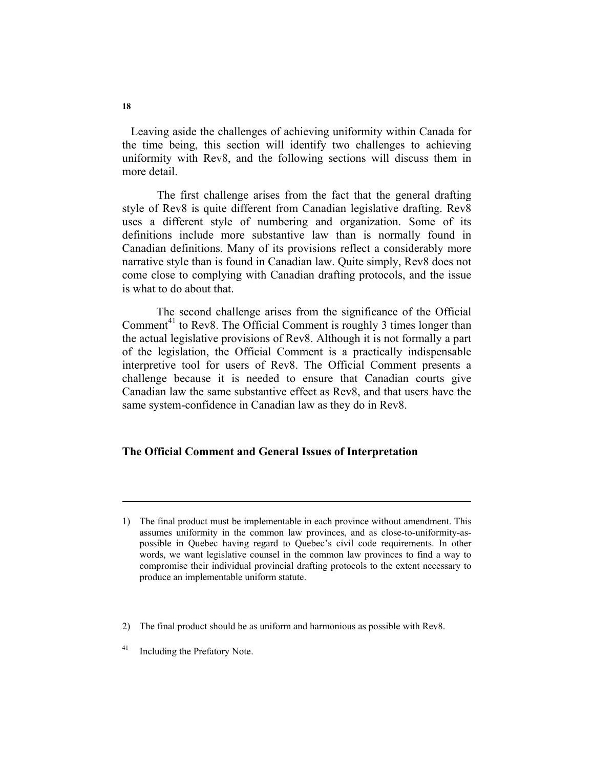Leaving aside the challenges of achieving uniformity within Canada for the time being, this section will identify two challenges to achieving uniformity with Rev8, and the following sections will discuss them in more detail.

The first challenge arises from the fact that the general drafting style of Rev8 is quite different from Canadian legislative drafting. Rev8 uses a different style of numbering and organization. Some of its definitions include more substantive law than is normally found in Canadian definitions. Many of its provisions reflect a considerably more narrative style than is found in Canadian law. Quite simply, Rev8 does not come close to complying with Canadian drafting protocols, and the issue is what to do about that.

 The second challenge arises from the significance of the Official Comment<sup>41</sup> to Rev8. The Official Comment is roughly 3 times longer than the actual legislative provisions of Rev8. Although it is not formally a part of the legislation, the Official Comment is a practically indispensable interpretive tool for users of Rev8. The Official Comment presents a challenge because it is needed to ensure that Canadian courts give Canadian law the same substantive effect as Rev8, and that users have the same system-confidence in Canadian law as they do in Rev8.

#### **The Official Comment and General Issues of Interpretation**

- 2) The final product should be as uniform and harmonious as possible with Rev8.
- <sup>41</sup> Including the Prefatory Note.

<sup>1)</sup> The final product must be implementable in each province without amendment. This assumes uniformity in the common law provinces, and as close-to-uniformity-aspossible in Quebec having regard to Quebec's civil code requirements. In other words, we want legislative counsel in the common law provinces to find a way to compromise their individual provincial drafting protocols to the extent necessary to produce an implementable uniform statute.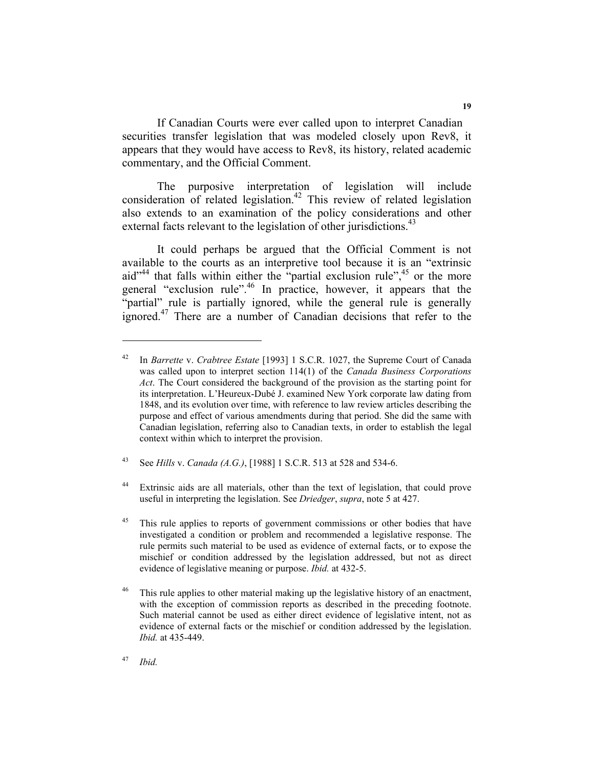If Canadian Courts were ever called upon to interpret Canadian securities transfer legislation that was modeled closely upon Rev8, it appears that they would have access to Rev8, its history, related academic commentary, and the Official Comment.

The purposive interpretation of legislation will include consideration of related legislation.<sup>42</sup> This review of related legislation also extends to an examination of the policy considerations and other external facts relevant to the legislation of other jurisdictions.<sup>43</sup>

It could perhaps be argued that the Official Comment is not available to the courts as an interpretive tool because it is an "extrinsic aid"<sup>44</sup> that falls within either the "partial exclusion rule",  $45$  or the more general "exclusion rule".<sup>46</sup> In practice, however, it appears that the "partial" rule is partially ignored, while the general rule is generally ignored.<sup>47</sup> There are a number of Canadian decisions that refer to the

43 See *Hills* v. *Canada (A.G.)*, [1988] 1 S.C.R. 513 at 528 and 534-6.

44 Extrinsic aids are all materials, other than the text of legislation, that could prove useful in interpreting the legislation. See *Driedger*, *supra*, note 5 at 427.

<sup>45</sup> This rule applies to reports of government commissions or other bodies that have investigated a condition or problem and recommended a legislative response. The rule permits such material to be used as evidence of external facts, or to expose the mischief or condition addressed by the legislation addressed, but not as direct evidence of legislative meaning or purpose. *Ibid.* at 432-5.

<sup>46</sup> This rule applies to other material making up the legislative history of an enactment, with the exception of commission reports as described in the preceding footnote. Such material cannot be used as either direct evidence of legislative intent, not as evidence of external facts or the mischief or condition addressed by the legislation. *Ibid.* at 435-449.

<sup>47</sup> *Ibid.*

<sup>42</sup> In *Barrette* v. *Crabtree Estate* [1993] 1 S.C.R. 1027, the Supreme Court of Canada was called upon to interpret section 114(1) of the *Canada Business Corporations Act*. The Court considered the background of the provision as the starting point for its interpretation. L'Heureux-Dubé J. examined New York corporate law dating from 1848, and its evolution over time, with reference to law review articles describing the purpose and effect of various amendments during that period. She did the same with Canadian legislation, referring also to Canadian texts, in order to establish the legal context within which to interpret the provision.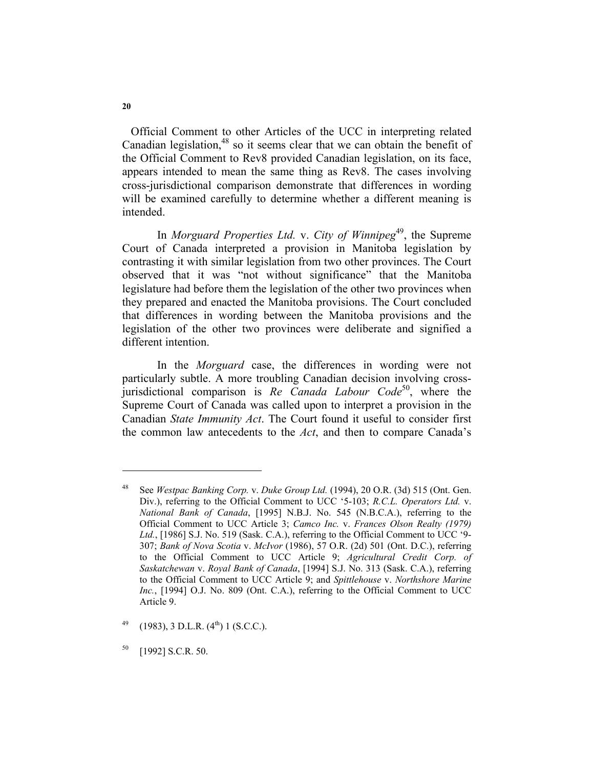Official Comment to other Articles of the UCC in interpreting related Canadian legislation,<sup>48</sup> so it seems clear that we can obtain the benefit of the Official Comment to Rev8 provided Canadian legislation, on its face, appears intended to mean the same thing as Rev8. The cases involving cross-jurisdictional comparison demonstrate that differences in wording will be examined carefully to determine whether a different meaning is intended.

In *Morguard Properties Ltd.* v. *City of Winnipeg*<sup>49</sup>, the Supreme Court of Canada interpreted a provision in Manitoba legislation by contrasting it with similar legislation from two other provinces. The Court observed that it was "not without significance" that the Manitoba legislature had before them the legislation of the other two provinces when they prepared and enacted the Manitoba provisions. The Court concluded that differences in wording between the Manitoba provisions and the legislation of the other two provinces were deliberate and signified a different intention.

In the *Morguard* case, the differences in wording were not particularly subtle. A more troubling Canadian decision involving crossjurisdictional comparison is *Re Canada Labour Code*<sup>50</sup>, where the Supreme Court of Canada was called upon to interpret a provision in the Canadian *State Immunity Act*. The Court found it useful to consider first the common law antecedents to the *Act*, and then to compare Canada's

**20** 

<sup>48</sup> See *Westpac Banking Corp.* v. *Duke Group Ltd.* (1994), 20 O.R. (3d) 515 (Ont. Gen. Div.), referring to the Official Comment to UCC '5-103; *R.C.L. Operators Ltd.* v. *National Bank of Canada*, [1995] N.B.J. No. 545 (N.B.C.A.), referring to the Official Comment to UCC Article 3; *Camco Inc.* v. *Frances Olson Realty (1979) Ltd.*, [1986] S.J. No. 519 (Sask. C.A.), referring to the Official Comment to UCC '9- 307; *Bank of Nova Scotia* v. *McIvor* (1986), 57 O.R. (2d) 501 (Ont. D.C.), referring to the Official Comment to UCC Article 9; *Agricultural Credit Corp. of Saskatchewan* v. *Royal Bank of Canada*, [1994] S.J. No. 313 (Sask. C.A.), referring to the Official Comment to UCC Article 9; and *Spittlehouse* v. *Northshore Marine Inc.*, [1994] O.J. No. 809 (Ont. C.A.), referring to the Official Comment to UCC Article 9.

 $^{49}$  (1983), 3 D.L.R. (4<sup>th</sup>) 1 (S.C.C.).

<sup>50 [1992]</sup> S.C.R. 50.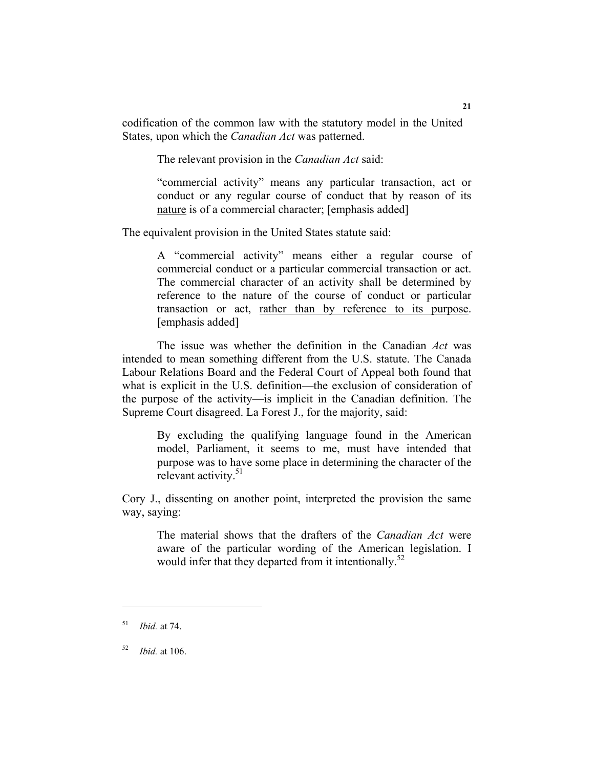codification of the common law with the statutory model in the United States, upon which the *Canadian Act* was patterned.

The relevant provision in the *Canadian Act* said:

"commercial activity" means any particular transaction, act or conduct or any regular course of conduct that by reason of its nature is of a commercial character; [emphasis added]

The equivalent provision in the United States statute said:

A "commercial activity" means either a regular course of commercial conduct or a particular commercial transaction or act. The commercial character of an activity shall be determined by reference to the nature of the course of conduct or particular transaction or act, rather than by reference to its purpose. [emphasis added]

The issue was whether the definition in the Canadian *Act* was intended to mean something different from the U.S. statute. The Canada Labour Relations Board and the Federal Court of Appeal both found that what is explicit in the U.S. definition—the exclusion of consideration of the purpose of the activity—is implicit in the Canadian definition. The Supreme Court disagreed. La Forest J., for the majority, said:

By excluding the qualifying language found in the American model, Parliament, it seems to me, must have intended that purpose was to have some place in determining the character of the relevant activity. $51$ 

Cory J., dissenting on another point, interpreted the provision the same way, saying:

The material shows that the drafters of the *Canadian Act* were aware of the particular wording of the American legislation. I would infer that they departed from it intentionally.<sup>52</sup>

<sup>51</sup> *Ibid.* at 74.

<sup>52</sup> *Ibid.* at 106.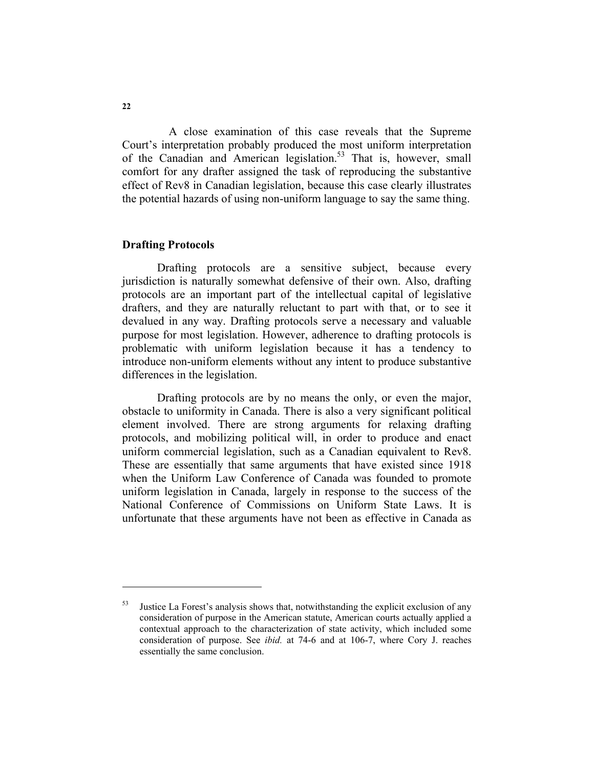A close examination of this case reveals that the Supreme Court's interpretation probably produced the most uniform interpretation of the Canadian and American legislation.<sup>53</sup> That is, however, small comfort for any drafter assigned the task of reproducing the substantive effect of Rev8 in Canadian legislation, because this case clearly illustrates the potential hazards of using non-uniform language to say the same thing.

## **Drafting Protocols**

Drafting protocols are a sensitive subject, because every jurisdiction is naturally somewhat defensive of their own. Also, drafting protocols are an important part of the intellectual capital of legislative drafters, and they are naturally reluctant to part with that, or to see it devalued in any way. Drafting protocols serve a necessary and valuable purpose for most legislation. However, adherence to drafting protocols is problematic with uniform legislation because it has a tendency to introduce non-uniform elements without any intent to produce substantive differences in the legislation.

Drafting protocols are by no means the only, or even the major, obstacle to uniformity in Canada. There is also a very significant political element involved. There are strong arguments for relaxing drafting protocols, and mobilizing political will, in order to produce and enact uniform commercial legislation, such as a Canadian equivalent to Rev8. These are essentially that same arguments that have existed since 1918 when the Uniform Law Conference of Canada was founded to promote uniform legislation in Canada, largely in response to the success of the National Conference of Commissions on Uniform State Laws. It is unfortunate that these arguments have not been as effective in Canada as

 $53$  Justice La Forest's analysis shows that, notwithstanding the explicit exclusion of any consideration of purpose in the American statute, American courts actually applied a contextual approach to the characterization of state activity, which included some consideration of purpose. See *ibid.* at 74-6 and at 106-7, where Cory J. reaches essentially the same conclusion.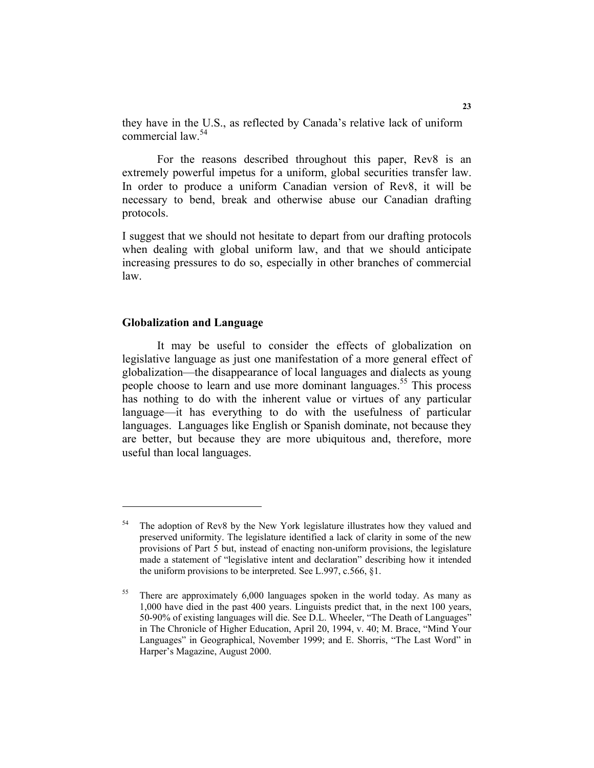they have in the U.S., as reflected by Canada's relative lack of uniform commercial law.54

For the reasons described throughout this paper, Rev8 is an extremely powerful impetus for a uniform, global securities transfer law. In order to produce a uniform Canadian version of Rev8, it will be necessary to bend, break and otherwise abuse our Canadian drafting protocols.

I suggest that we should not hesitate to depart from our drafting protocols when dealing with global uniform law, and that we should anticipate increasing pressures to do so, especially in other branches of commercial law.

#### **Globalization and Language**

It may be useful to consider the effects of globalization on legislative language as just one manifestation of a more general effect of globalization—the disappearance of local languages and dialects as young people choose to learn and use more dominant languages.<sup>55</sup> This process has nothing to do with the inherent value or virtues of any particular language—it has everything to do with the usefulness of particular languages. Languages like English or Spanish dominate, not because they are better, but because they are more ubiquitous and, therefore, more useful than local languages.

<sup>&</sup>lt;sup>54</sup> The adoption of Rev8 by the New York legislature illustrates how they valued and preserved uniformity. The legislature identified a lack of clarity in some of the new provisions of Part 5 but, instead of enacting non-uniform provisions, the legislature made a statement of "legislative intent and declaration" describing how it intended the uniform provisions to be interpreted. See L.997, c.566, §1.

<sup>&</sup>lt;sup>55</sup> There are approximately 6,000 languages spoken in the world today. As many as 1,000 have died in the past 400 years. Linguists predict that, in the next 100 years, 50-90% of existing languages will die. See D.L. Wheeler, "The Death of Languages" in The Chronicle of Higher Education, April 20, 1994, v. 40; M. Brace, "Mind Your Languages" in Geographical, November 1999; and E. Shorris, "The Last Word" in Harper's Magazine, August 2000.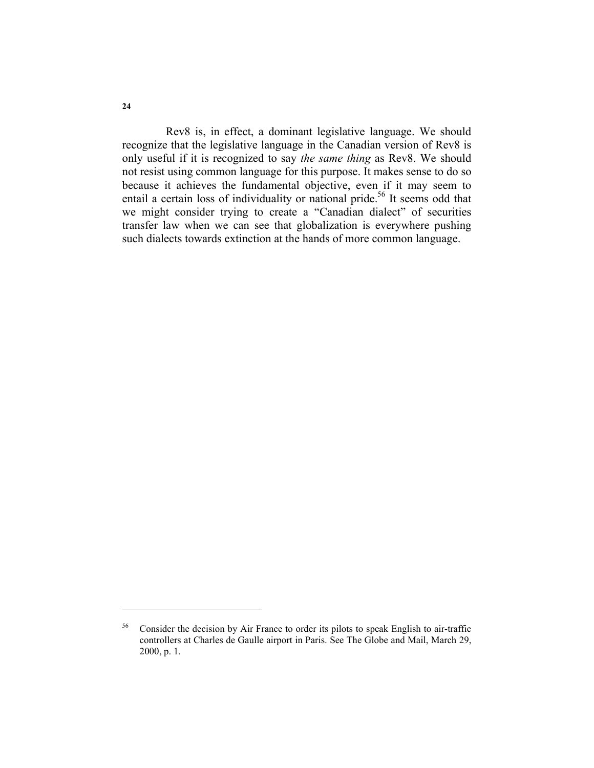Rev8 is, in effect, a dominant legislative language. We should recognize that the legislative language in the Canadian version of Rev8 is only useful if it is recognized to say *the same thing* as Rev8. We should not resist using common language for this purpose. It makes sense to do so because it achieves the fundamental objective, even if it may seem to entail a certain loss of individuality or national pride.<sup>56</sup> It seems odd that we might consider trying to create a "Canadian dialect" of securities transfer law when we can see that globalization is everywhere pushing such dialects towards extinction at the hands of more common language.

<sup>&</sup>lt;sup>56</sup> Consider the decision by Air France to order its pilots to speak English to air-traffic controllers at Charles de Gaulle airport in Paris. See The Globe and Mail, March 29, 2000, p. 1.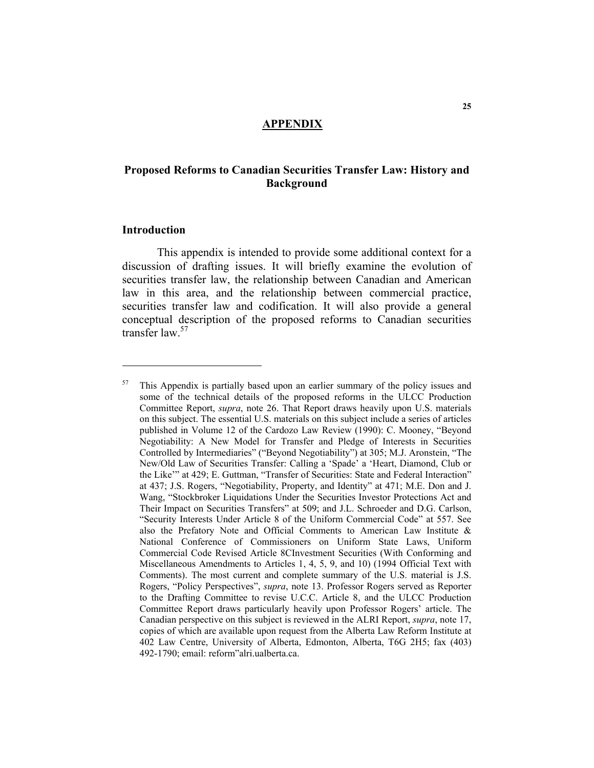## **APPENDIX**

## **Proposed Reforms to Canadian Securities Transfer Law: History and Background**

#### **Introduction**

This appendix is intended to provide some additional context for a discussion of drafting issues. It will briefly examine the evolution of securities transfer law, the relationship between Canadian and American law in this area, and the relationship between commercial practice, securities transfer law and codification. It will also provide a general conceptual description of the proposed reforms to Canadian securities transfer law<sup>57</sup>

 $57$  This Appendix is partially based upon an earlier summary of the policy issues and some of the technical details of the proposed reforms in the ULCC Production Committee Report, *supra*, note 26. That Report draws heavily upon U.S. materials on this subject. The essential U.S. materials on this subject include a series of articles published in Volume 12 of the Cardozo Law Review (1990): C. Mooney, "Beyond Negotiability: A New Model for Transfer and Pledge of Interests in Securities Controlled by Intermediaries" ("Beyond Negotiability") at 305; M.J. Aronstein, "The New/Old Law of Securities Transfer: Calling a 'Spade' a 'Heart, Diamond, Club or the Like'" at 429; E. Guttman, "Transfer of Securities: State and Federal Interaction" at 437; J.S. Rogers, "Negotiability, Property, and Identity" at 471; M.E. Don and J. Wang, "Stockbroker Liquidations Under the Securities Investor Protections Act and Their Impact on Securities Transfers" at 509; and J.L. Schroeder and D.G. Carlson, "Security Interests Under Article 8 of the Uniform Commercial Code" at 557. See also the Prefatory Note and Official Comments to American Law Institute & National Conference of Commissioners on Uniform State Laws, Uniform Commercial Code Revised Article 8CInvestment Securities (With Conforming and Miscellaneous Amendments to Articles 1, 4, 5, 9, and 10) (1994 Official Text with Comments). The most current and complete summary of the U.S. material is J.S. Rogers, "Policy Perspectives", *supra*, note 13. Professor Rogers served as Reporter to the Drafting Committee to revise U.C.C. Article 8, and the ULCC Production Committee Report draws particularly heavily upon Professor Rogers' article. The Canadian perspective on this subject is reviewed in the ALRI Report, *supra*, note 17, copies of which are available upon request from the Alberta Law Reform Institute at 402 Law Centre, University of Alberta, Edmonton, Alberta, T6G 2H5; fax (403) 492-1790; email: reform"alri.ualberta.ca.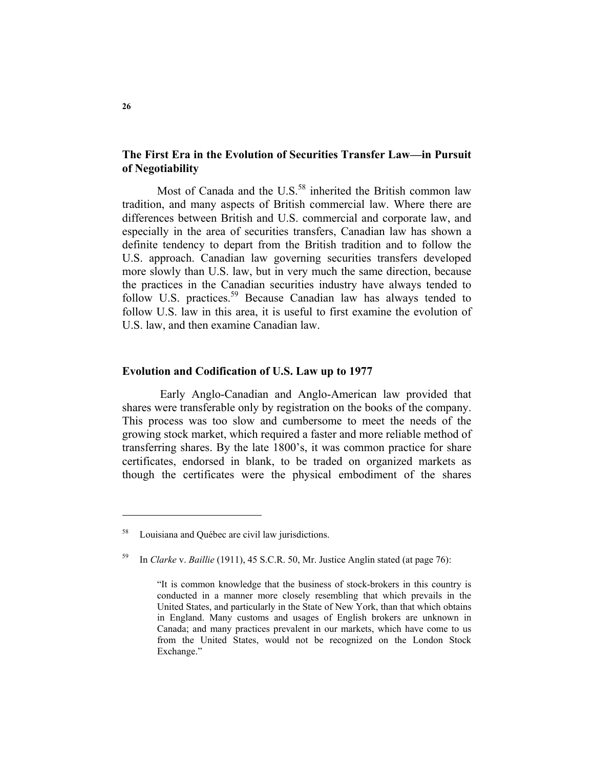## **The First Era in the Evolution of Securities Transfer Law—in Pursuit of Negotiability**

Most of Canada and the U.S. $<sup>58</sup>$  inherited the British common law</sup> tradition, and many aspects of British commercial law. Where there are differences between British and U.S. commercial and corporate law, and especially in the area of securities transfers, Canadian law has shown a definite tendency to depart from the British tradition and to follow the U.S. approach. Canadian law governing securities transfers developed more slowly than U.S. law, but in very much the same direction, because the practices in the Canadian securities industry have always tended to follow U.S. practices.<sup>59</sup> Because Canadian law has always tended to follow U.S. law in this area, it is useful to first examine the evolution of U.S. law, and then examine Canadian law.

#### **Evolution and Codification of U.S. Law up to 1977**

 Early Anglo-Canadian and Anglo-American law provided that shares were transferable only by registration on the books of the company. This process was too slow and cumbersome to meet the needs of the growing stock market, which required a faster and more reliable method of transferring shares. By the late 1800's, it was common practice for share certificates, endorsed in blank, to be traded on organized markets as though the certificates were the physical embodiment of the shares

Louisiana and Québec are civil law jurisdictions.

<sup>59</sup> In *Clarke* v. *Baillie* (1911), 45 S.C.R. 50, Mr. Justice Anglin stated (at page 76):

 <sup>&</sup>quot;It is common knowledge that the business of stock-brokers in this country is conducted in a manner more closely resembling that which prevails in the United States, and particularly in the State of New York, than that which obtains in England. Many customs and usages of English brokers are unknown in Canada; and many practices prevalent in our markets, which have come to us from the United States, would not be recognized on the London Stock Exchange."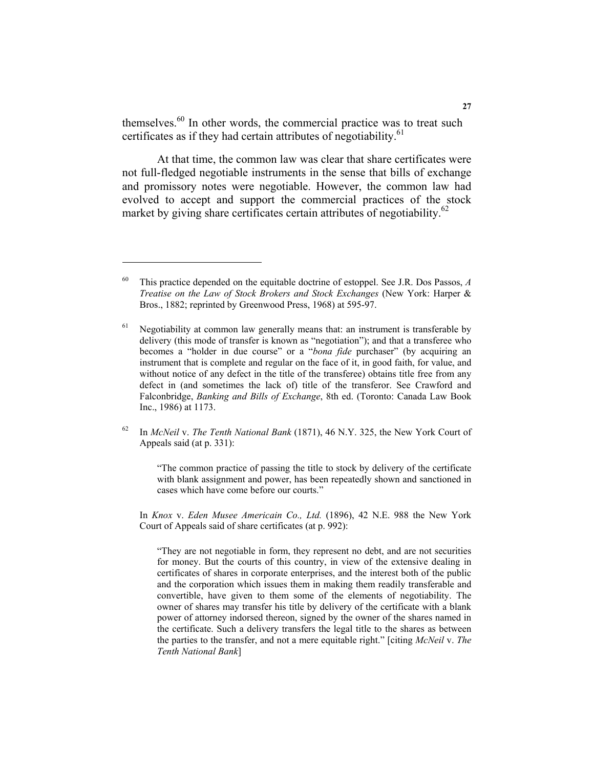themselves.<sup>60</sup> In other words, the commercial practice was to treat such certificates as if they had certain attributes of negotiability.<sup>61</sup>

At that time, the common law was clear that share certificates were not full-fledged negotiable instruments in the sense that bills of exchange and promissory notes were negotiable. However, the common law had evolved to accept and support the commercial practices of the stock market by giving share certificates certain attributes of negotiability.<sup>62</sup>

62 In *McNeil* v. *The Tenth National Bank* (1871), 46 N.Y. 325, the New York Court of Appeals said (at p. 331):

"The common practice of passing the title to stock by delivery of the certificate with blank assignment and power, has been repeatedly shown and sanctioned in cases which have come before our courts."

 In *Knox* v. *Eden Musee Americain Co., Ltd.* (1896), 42 N.E. 988 the New York Court of Appeals said of share certificates (at p. 992):

"They are not negotiable in form, they represent no debt, and are not securities for money. But the courts of this country, in view of the extensive dealing in certificates of shares in corporate enterprises, and the interest both of the public and the corporation which issues them in making them readily transferable and convertible, have given to them some of the elements of negotiability. The owner of shares may transfer his title by delivery of the certificate with a blank power of attorney indorsed thereon, signed by the owner of the shares named in the certificate. Such a delivery transfers the legal title to the shares as between the parties to the transfer, and not a mere equitable right." [citing *McNeil* v. *The Tenth National Bank*]

<sup>60</sup> This practice depended on the equitable doctrine of estoppel. See J.R. Dos Passos, *A Treatise on the Law of Stock Brokers and Stock Exchanges* (New York: Harper & Bros., 1882; reprinted by Greenwood Press, 1968) at 595-97.

 $61$  Negotiability at common law generally means that: an instrument is transferable by delivery (this mode of transfer is known as "negotiation"); and that a transferee who becomes a "holder in due course" or a "*bona fide* purchaser" (by acquiring an instrument that is complete and regular on the face of it, in good faith, for value, and without notice of any defect in the title of the transferee) obtains title free from any defect in (and sometimes the lack of) title of the transferor. See Crawford and Falconbridge, *Banking and Bills of Exchange*, 8th ed. (Toronto: Canada Law Book Inc., 1986) at 1173.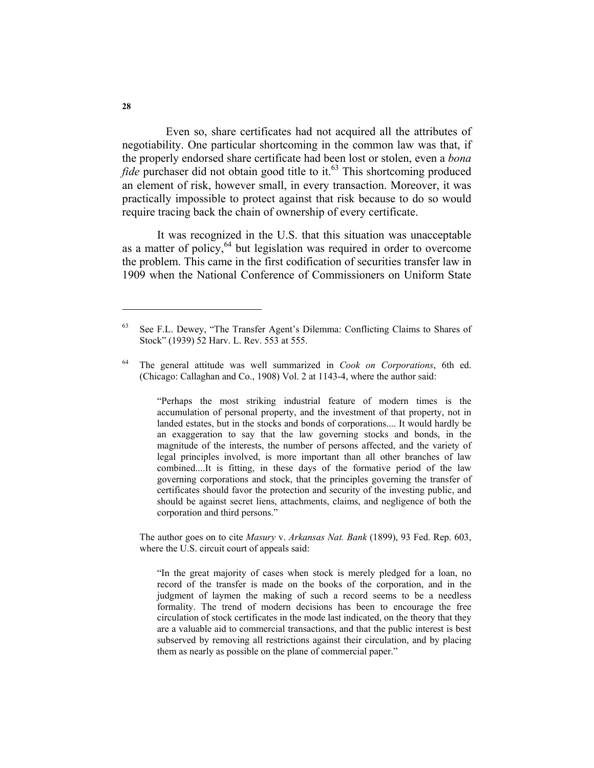Even so, share certificates had not acquired all the attributes of negotiability. One particular shortcoming in the common law was that, if the properly endorsed share certificate had been lost or stolen, even a *bona fide* purchaser did not obtain good title to it.<sup>63</sup> This shortcoming produced an element of risk, however small, in every transaction. Moreover, it was practically impossible to protect against that risk because to do so would require tracing back the chain of ownership of every certificate.

It was recognized in the U.S. that this situation was unacceptable as a matter of policy,  $64$  but legislation was required in order to overcome the problem. This came in the first codification of securities transfer law in 1909 when the National Conference of Commissioners on Uniform State

"Perhaps the most striking industrial feature of modern times is the accumulation of personal property, and the investment of that property, not in landed estates, but in the stocks and bonds of corporations.... It would hardly be an exaggeration to say that the law governing stocks and bonds, in the magnitude of the interests, the number of persons affected, and the variety of legal principles involved, is more important than all other branches of law combined....It is fitting, in these days of the formative period of the law governing corporations and stock, that the principles governing the transfer of certificates should favor the protection and security of the investing public, and should be against secret liens, attachments, claims, and negligence of both the corporation and third persons."

 The author goes on to cite *Masury* v. *Arkansas Nat. Bank* (1899), 93 Fed. Rep. 603, where the U.S. circuit court of appeals said:

"In the great majority of cases when stock is merely pledged for a loan, no record of the transfer is made on the books of the corporation, and in the judgment of laymen the making of such a record seems to be a needless formality. The trend of modern decisions has been to encourage the free circulation of stock certificates in the mode last indicated, on the theory that they are a valuable aid to commercial transactions, and that the public interest is best subserved by removing all restrictions against their circulation, and by placing them as nearly as possible on the plane of commercial paper."

<sup>63</sup> See F.L. Dewey, "The Transfer Agent's Dilemma: Conflicting Claims to Shares of Stock" (1939) 52 Harv. L. Rev. 553 at 555.

<sup>64</sup> The general attitude was well summarized in *Cook on Corporations*, 6th ed. (Chicago: Callaghan and Co., 1908) Vol. 2 at 1143-4, where the author said: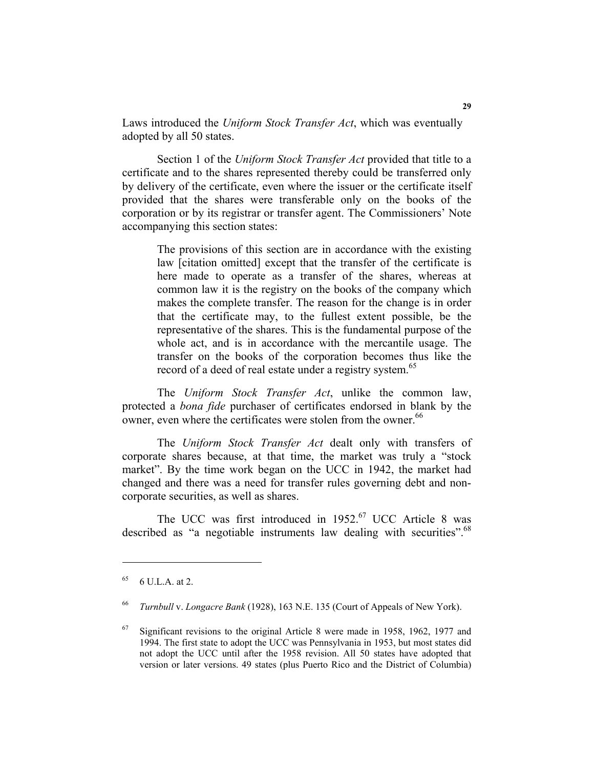Laws introduced the *Uniform Stock Transfer Act*, which was eventually adopted by all 50 states.

Section 1 of the *Uniform Stock Transfer Act* provided that title to a certificate and to the shares represented thereby could be transferred only by delivery of the certificate, even where the issuer or the certificate itself provided that the shares were transferable only on the books of the corporation or by its registrar or transfer agent. The Commissioners' Note accompanying this section states:

The provisions of this section are in accordance with the existing law [citation omitted] except that the transfer of the certificate is here made to operate as a transfer of the shares, whereas at common law it is the registry on the books of the company which makes the complete transfer. The reason for the change is in order that the certificate may, to the fullest extent possible, be the representative of the shares. This is the fundamental purpose of the whole act, and is in accordance with the mercantile usage. The transfer on the books of the corporation becomes thus like the record of a deed of real estate under a registry system.<sup>65</sup>

The *Uniform Stock Transfer Act*, unlike the common law, protected a *bona fide* purchaser of certificates endorsed in blank by the owner, even where the certificates were stolen from the owner.<sup>66</sup>

The *Uniform Stock Transfer Act* dealt only with transfers of corporate shares because, at that time, the market was truly a "stock market". By the time work began on the UCC in 1942, the market had changed and there was a need for transfer rules governing debt and noncorporate securities, as well as shares.

The UCC was first introduced in 1952.<sup>67</sup> UCC Article 8 was described as "a negotiable instruments law dealing with securities".<sup>68</sup>

 $6 \text{ U.L.A. at 2.}$ 

<sup>66</sup> *Turnbull* v. *Longacre Bank* (1928), 163 N.E. 135 (Court of Appeals of New York).

 $67$  Significant revisions to the original Article 8 were made in 1958, 1962, 1977 and 1994. The first state to adopt the UCC was Pennsylvania in 1953, but most states did not adopt the UCC until after the 1958 revision. All 50 states have adopted that version or later versions. 49 states (plus Puerto Rico and the District of Columbia)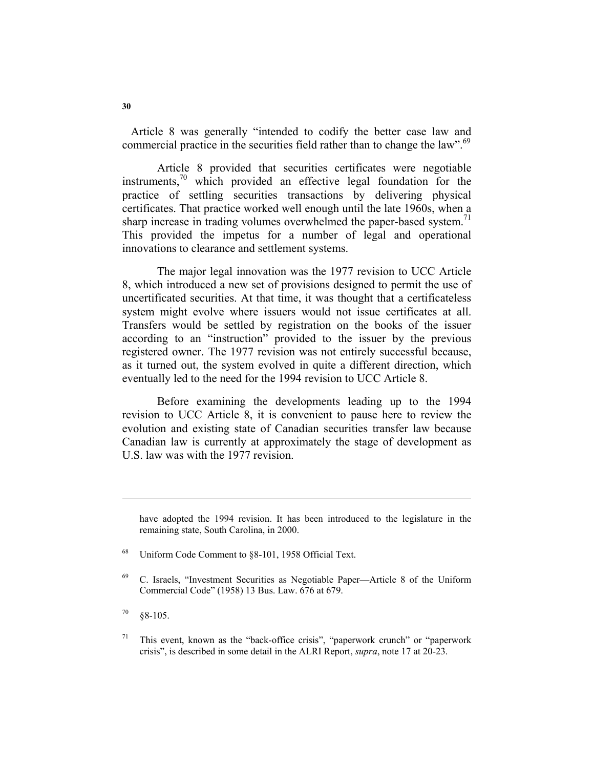Article 8 was generally "intended to codify the better case law and commercial practice in the securities field rather than to change the law".<sup>69</sup>

Article 8 provided that securities certificates were negotiable instruments, $\frac{70}{10}$  which provided an effective legal foundation for the practice of settling securities transactions by delivering physical certificates. That practice worked well enough until the late 1960s, when a sharp increase in trading volumes overwhelmed the paper-based system.<sup>71</sup> This provided the impetus for a number of legal and operational innovations to clearance and settlement systems.

The major legal innovation was the 1977 revision to UCC Article 8, which introduced a new set of provisions designed to permit the use of uncertificated securities. At that time, it was thought that a certificateless system might evolve where issuers would not issue certificates at all. Transfers would be settled by registration on the books of the issuer according to an "instruction" provided to the issuer by the previous registered owner. The 1977 revision was not entirely successful because, as it turned out, the system evolved in quite a different direction, which eventually led to the need for the 1994 revision to UCC Article 8.

Before examining the developments leading up to the 1994 revision to UCC Article 8, it is convenient to pause here to review the evolution and existing state of Canadian securities transfer law because Canadian law is currently at approximately the stage of development as U.S. law was with the 1977 revision.

have adopted the 1994 revision. It has been introduced to the legislature in the remaining state, South Carolina, in 2000.

<sup>68</sup> Uniform Code Comment to §8-101, 1958 Official Text.

<sup>69</sup> C. Israels, "Investment Securities as Negotiable Paper—Article 8 of the Uniform Commercial Code" (1958) 13 Bus. Law. 676 at 679.

 $70 \quad 88-105$ .

<sup>&</sup>lt;sup>71</sup> This event, known as the "back-office crisis", "paperwork crunch" or "paperwork crisis", is described in some detail in the ALRI Report, *supra*, note 17 at 20-23.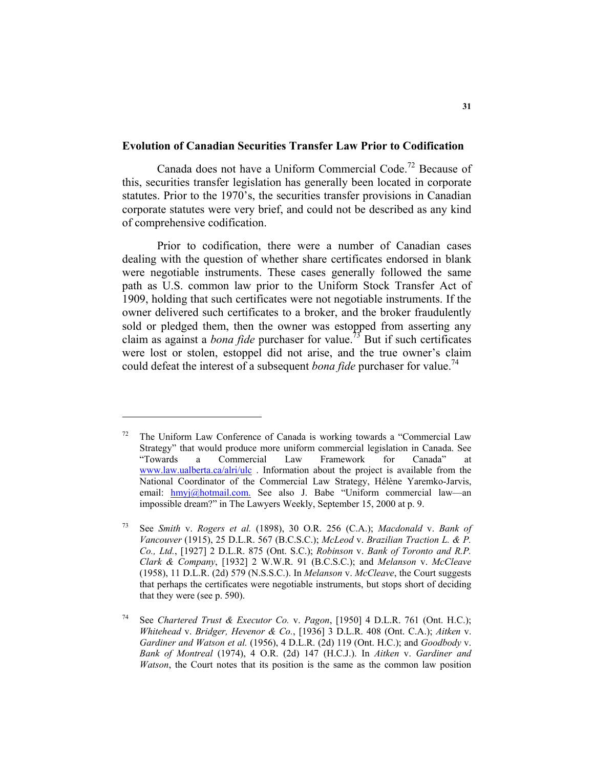## **Evolution of Canadian Securities Transfer Law Prior to Codification**

Canada does not have a Uniform Commercial Code.72 Because of this, securities transfer legislation has generally been located in corporate statutes. Prior to the 1970's, the securities transfer provisions in Canadian corporate statutes were very brief, and could not be described as any kind of comprehensive codification.

Prior to codification, there were a number of Canadian cases dealing with the question of whether share certificates endorsed in blank were negotiable instruments. These cases generally followed the same path as U.S. common law prior to the Uniform Stock Transfer Act of 1909, holding that such certificates were not negotiable instruments. If the owner delivered such certificates to a broker, and the broker fraudulently sold or pledged them, then the owner was estopped from asserting any claim as against a *bona fide* purchaser for value.73 But if such certificates were lost or stolen, estoppel did not arise, and the true owner's claim could defeat the interest of a subsequent *bona fide* purchaser for value.<sup>14</sup>

The Uniform Law Conference of Canada is working towards a "Commercial Law Strategy" that would produce more uniform commercial legislation in Canada. See "Towards a Commercial Law Framework for Canada" at www.law.ualberta.ca/alri/ulc . Information about the project is available from the National Coordinator of the Commercial Law Strategy, Hélène Yaremko-Jarvis, email: hmyj@hotmail.com. See also J. Babe "Uniform commercial law-an impossible dream?" in The Lawyers Weekly, September 15, 2000 at p. 9.

<sup>73</sup> See *Smith* v. *Rogers et al.* (1898), 30 O.R. 256 (C.A.); *Macdonald* v. *Bank of Vancouver* (1915), 25 D.L.R. 567 (B.C.S.C.); *McLeod* v. *Brazilian Traction L. & P. Co., Ltd.*, [1927] 2 D.L.R. 875 (Ont. S.C.); *Robinson* v. *Bank of Toronto and R.P. Clark & Company*, [1932] 2 W.W.R. 91 (B.C.S.C.); and *Melanson* v. *McCleave* (1958), 11 D.L.R. (2d) 579 (N.S.S.C.). In *Melanson* v. *McCleave*, the Court suggests that perhaps the certificates were negotiable instruments, but stops short of deciding that they were (see p. 590).

See *Chartered Trust & Executor Co. v. Pagon*, [1950] 4 D.L.R. 761 (Ont. H.C.); *Whitehead* v. *Bridger, Hevenor & Co.*, [1936] 3 D.L.R. 408 (Ont. C.A.); *Aitken* v. *Gardiner and Watson et al.* (1956), 4 D.L.R. (2d) 119 (Ont. H.C.); and *Goodbody* v. *Bank of Montreal* (1974), 4 O.R. (2d) 147 (H.C.J.). In *Aitken* v. *Gardiner and Watson*, the Court notes that its position is the same as the common law position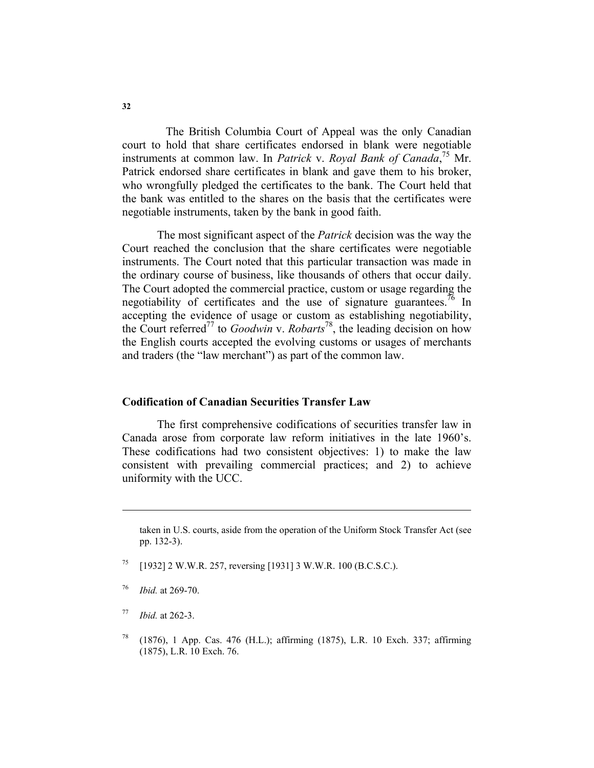The British Columbia Court of Appeal was the only Canadian court to hold that share certificates endorsed in blank were negotiable instruments at common law. In *Patrick* v. *Royal Bank of Canada*, 75 Mr. Patrick endorsed share certificates in blank and gave them to his broker, who wrongfully pledged the certificates to the bank. The Court held that the bank was entitled to the shares on the basis that the certificates were negotiable instruments, taken by the bank in good faith.

The most significant aspect of the *Patrick* decision was the way the Court reached the conclusion that the share certificates were negotiable instruments. The Court noted that this particular transaction was made in the ordinary course of business, like thousands of others that occur daily. The Court adopted the commercial practice, custom or usage regarding the negotiability of certificates and the use of signature guarantees.<sup>76</sup> In accepting the evidence of usage or custom as establishing negotiability, the Court referred77 to *Goodwin* v. *Robarts*78, the leading decision on how the English courts accepted the evolving customs or usages of merchants and traders (the "law merchant") as part of the common law.

## **Codification of Canadian Securities Transfer Law**

The first comprehensive codifications of securities transfer law in Canada arose from corporate law reform initiatives in the late 1960's. These codifications had two consistent objectives: 1) to make the law consistent with prevailing commercial practices; and 2) to achieve uniformity with the UCC.

- 75 [1932] 2 W.W.R. 257, reversing [1931] 3 W.W.R. 100 (B.C.S.C.).
- <sup>76</sup> *Ibid.* at 269-70.

- <sup>77</sup> *Ibid.* at 262-3.
- 78 (1876), 1 App. Cas. 476 (H.L.); affirming (1875), L.R. 10 Exch. 337; affirming (1875), L.R. 10 Exch. 76.

taken in U.S. courts, aside from the operation of the Uniform Stock Transfer Act (see pp. 132-3).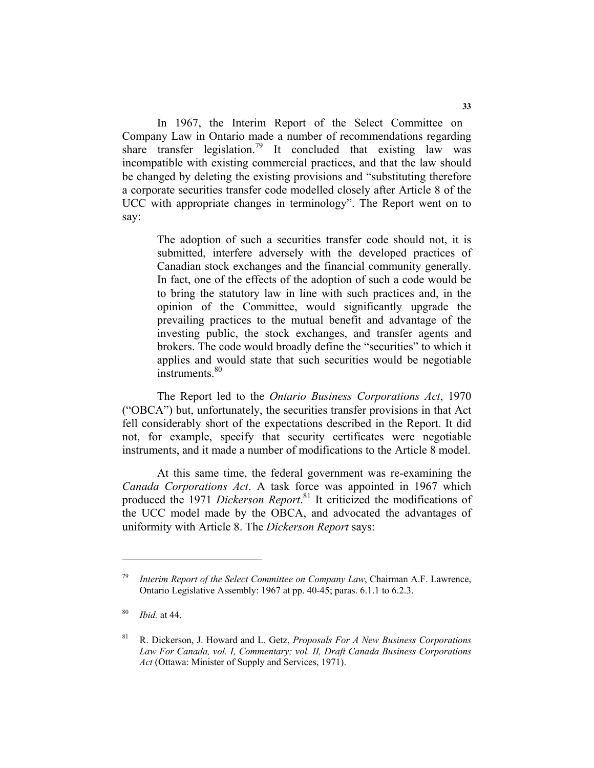In 1967, the Interim Report of the Select Committee on Company Law in Ontario made a number of recommendations regarding share transfer legislation.<sup>79</sup> It concluded that existing law was incompatible with existing commercial practices, and that the law should be changed by deleting the existing provisions and "substituting therefore a corporate securities transfer code modelled closely after Article 8 of the UCC with appropriate changes in terminology". The Report went on to say:

The adoption of such a securities transfer code should not, it is submitted, interfere adversely with the developed practices of Canadian stock exchanges and the financial community generally. In fact, one of the effects of the adoption of such a code would be to bring the statutory law in line with such practices and, in the opinion of the Committee, would significantly upgrade the prevailing practices to the mutual benefit and advantage of the investing public, the stock exchanges, and transfer agents and brokers. The code would broadly define the "securities" to which it applies and would state that such securities would be negotiable instruments.<sup>80</sup>

The Report led to the *Ontario Business Corporations Act*, 1970 ("OBCA") but, unfortunately, the securities transfer provisions in that Act fell considerably short of the expectations described in the Report. It did not, for example, specify that security certificates were negotiable instruments, and it made a number of modifications to the Article 8 model.

At this same time, the federal government was re-examining the *Canada Corporations Act*. A task force was appointed in 1967 which produced the 1971 *Dickerson Report*. 81 It criticized the modifications of the UCC model made by the OBCA, and advocated the advantages of uniformity with Article 8. The *Dickerson Report* says:

Interim Report of the Select Committee on Company Law, Chairman A.F. Lawrence, Ontario Legislative Assembly: 1967 at pp. 40-45; paras. 6.1.1 to 6.2.3.

<sup>80</sup> *Ibid.* at 44.

<sup>81</sup> R. Dickerson, J. Howard and L. Getz, *Proposals For A New Business Corporations Law For Canada, vol. I, Commentary; vol. II, Draft Canada Business Corporations Act* (Ottawa: Minister of Supply and Services, 1971).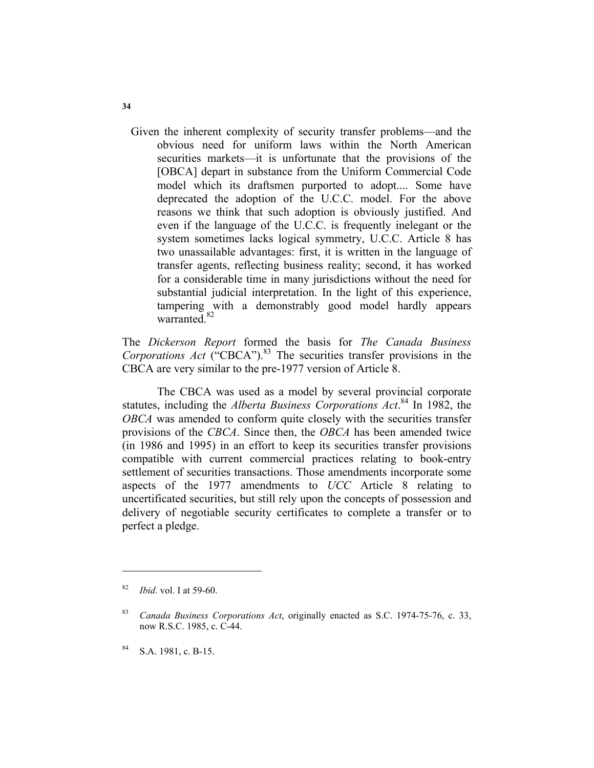Given the inherent complexity of security transfer problems—and the obvious need for uniform laws within the North American securities markets—it is unfortunate that the provisions of the [OBCA] depart in substance from the Uniform Commercial Code model which its draftsmen purported to adopt.... Some have deprecated the adoption of the U.C.C. model. For the above reasons we think that such adoption is obviously justified. And even if the language of the U.C.C. is frequently inelegant or the system sometimes lacks logical symmetry, U.C.C. Article 8 has two unassailable advantages: first, it is written in the language of transfer agents, reflecting business reality; second, it has worked for a considerable time in many jurisdictions without the need for substantial judicial interpretation. In the light of this experience, tampering with a demonstrably good model hardly appears warranted.<sup>82</sup>

The *Dickerson Report* formed the basis for *The Canada Business Corporations Act* ("CBCA").<sup>83</sup> The securities transfer provisions in the CBCA are very similar to the pre-1977 version of Article 8.

The CBCA was used as a model by several provincial corporate statutes, including the *Alberta Business Corporations Act*. 84 In 1982, the *OBCA* was amended to conform quite closely with the securities transfer provisions of the *CBCA*. Since then, the *OBCA* has been amended twice (in 1986 and 1995) in an effort to keep its securities transfer provisions compatible with current commercial practices relating to book-entry settlement of securities transactions. Those amendments incorporate some aspects of the 1977 amendments to *UCC* Article 8 relating to uncertificated securities, but still rely upon the concepts of possession and delivery of negotiable security certificates to complete a transfer or to perfect a pledge.

84 S.A. 1981, c. B-15.

<sup>82</sup> *Ibid.* vol. I at 59-60.

<sup>83</sup> *Canada Business Corporations Act*, originally enacted as S.C. 1974-75-76, c. 33, now R.S.C. 1985, c. C-44.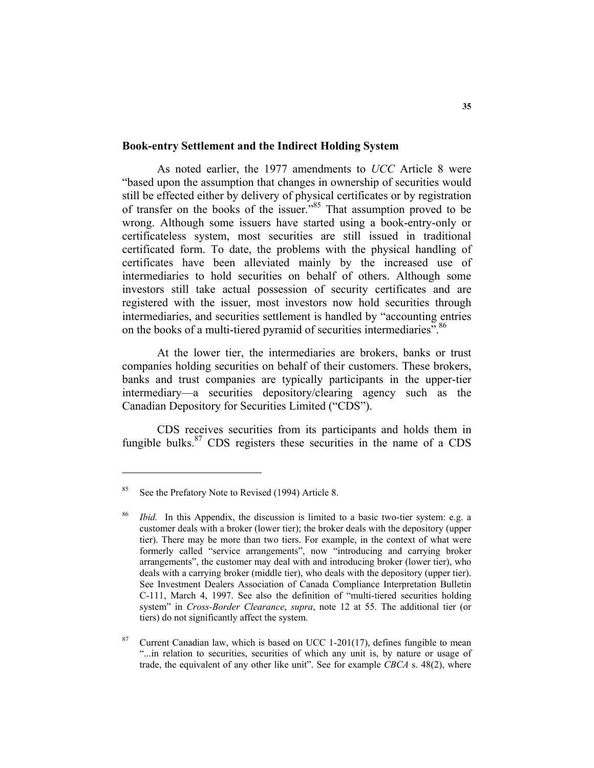#### **Book-entry Settlement and the Indirect Holding System**

As noted earlier, the 1977 amendments to *UCC* Article 8 were "based upon the assumption that changes in ownership of securities would still be effected either by delivery of physical certificates or by registration of transfer on the books of the issuer."85 That assumption proved to be wrong. Although some issuers have started using a book-entry-only or certificateless system, most securities are still issued in traditional certificated form. To date, the problems with the physical handling of certificates have been alleviated mainly by the increased use of intermediaries to hold securities on behalf of others. Although some investors still take actual possession of security certificates and are registered with the issuer, most investors now hold securities through intermediaries, and securities settlement is handled by "accounting entries on the books of a multi-tiered pyramid of securities intermediaries".<sup>86</sup>

At the lower tier, the intermediaries are brokers, banks or trust companies holding securities on behalf of their customers. These brokers, banks and trust companies are typically participants in the upper-tier intermediary—a securities depository/clearing agency such as the Canadian Depository for Securities Limited ("CDS").

CDS receives securities from its participants and holds them in fungible bulks. $87$  CDS registers these securities in the name of a CDS

<sup>&</sup>lt;sup>85</sup> See the Prefatory Note to Revised (1994) Article 8.

<sup>86</sup> *Ibid.* In this Appendix, the discussion is limited to a basic two-tier system: e.g. a customer deals with a broker (lower tier); the broker deals with the depository (upper tier). There may be more than two tiers. For example, in the context of what were formerly called "service arrangements", now "introducing and carrying broker arrangements", the customer may deal with and introducing broker (lower tier), who deals with a carrying broker (middle tier), who deals with the depository (upper tier). See Investment Dealers Association of Canada Compliance Interpretation Bulletin C-111, March 4, 1997. See also the definition of "multi-tiered securities holding system" in *Cross-Border Clearance*, *supra*, note 12 at 55. The additional tier (or tiers) do not significantly affect the system.

<sup>&</sup>lt;sup>87</sup> Current Canadian law, which is based on UCC 1-201(17), defines fungible to mean "...in relation to securities, securities of which any unit is, by nature or usage of trade, the equivalent of any other like unit". See for example *CBCA* s. 48(2), where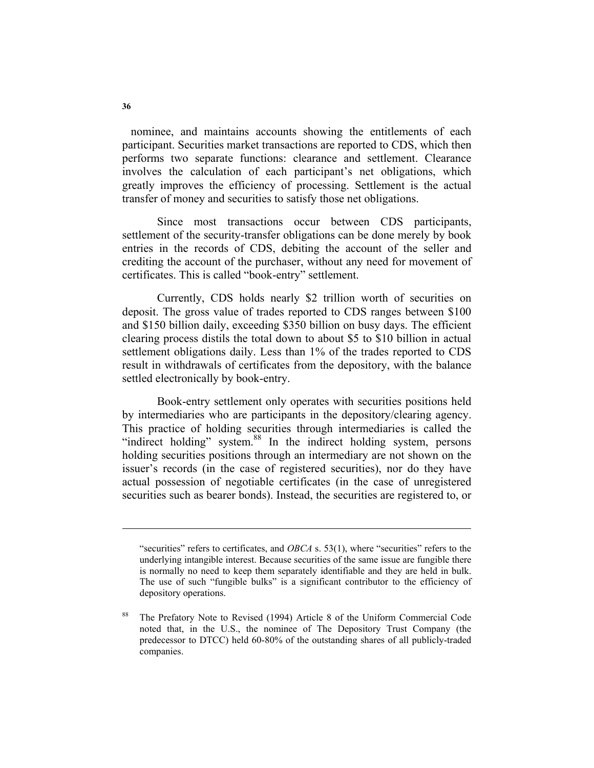nominee, and maintains accounts showing the entitlements of each participant. Securities market transactions are reported to CDS, which then performs two separate functions: clearance and settlement. Clearance involves the calculation of each participant's net obligations, which greatly improves the efficiency of processing. Settlement is the actual transfer of money and securities to satisfy those net obligations.

Since most transactions occur between CDS participants, settlement of the security-transfer obligations can be done merely by book entries in the records of CDS, debiting the account of the seller and crediting the account of the purchaser, without any need for movement of certificates. This is called "book-entry" settlement.

Currently, CDS holds nearly \$2 trillion worth of securities on deposit. The gross value of trades reported to CDS ranges between \$100 and \$150 billion daily, exceeding \$350 billion on busy days. The efficient clearing process distils the total down to about \$5 to \$10 billion in actual settlement obligations daily. Less than 1% of the trades reported to CDS result in withdrawals of certificates from the depository, with the balance settled electronically by book-entry.

Book-entry settlement only operates with securities positions held by intermediaries who are participants in the depository/clearing agency. This practice of holding securities through intermediaries is called the "indirect holding" system.<sup>88</sup> In the indirect holding system, persons holding securities positions through an intermediary are not shown on the issuer's records (in the case of registered securities), nor do they have actual possession of negotiable certificates (in the case of unregistered securities such as bearer bonds). Instead, the securities are registered to, or

<sup>&</sup>quot;securities" refers to certificates, and *OBCA* s. 53(1), where "securities" refers to the underlying intangible interest. Because securities of the same issue are fungible there is normally no need to keep them separately identifiable and they are held in bulk. The use of such "fungible bulks" is a significant contributor to the efficiency of depository operations.

The Prefatory Note to Revised (1994) Article 8 of the Uniform Commercial Code noted that, in the U.S., the nominee of The Depository Trust Company (the predecessor to DTCC) held 60-80% of the outstanding shares of all publicly-traded companies.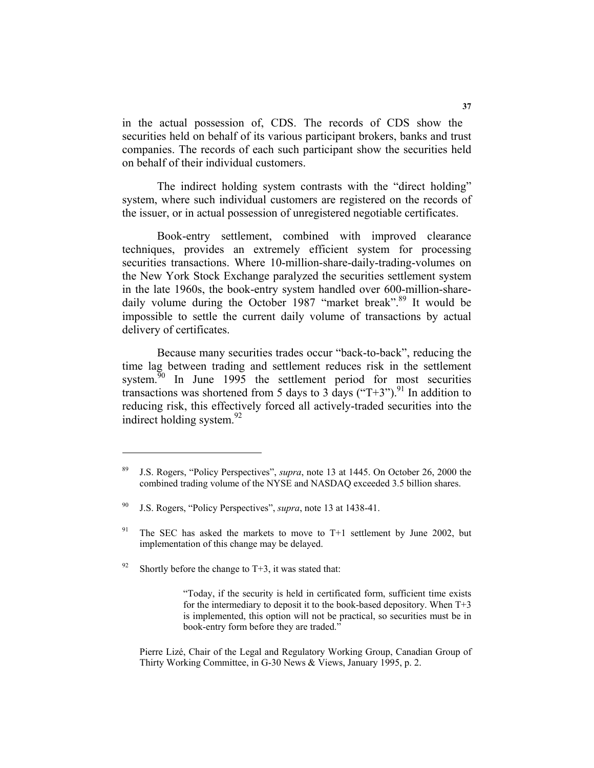in the actual possession of, CDS. The records of CDS show the securities held on behalf of its various participant brokers, banks and trust companies. The records of each such participant show the securities held on behalf of their individual customers.

The indirect holding system contrasts with the "direct holding" system, where such individual customers are registered on the records of the issuer, or in actual possession of unregistered negotiable certificates.

Book-entry settlement, combined with improved clearance techniques, provides an extremely efficient system for processing securities transactions. Where 10-million-share-daily-trading-volumes on the New York Stock Exchange paralyzed the securities settlement system in the late 1960s, the book-entry system handled over 600-million-sharedaily volume during the October 1987 "market break".<sup>89</sup> It would be impossible to settle the current daily volume of transactions by actual delivery of certificates.

Because many securities trades occur "back-to-back", reducing the time lag between trading and settlement reduces risk in the settlement system.<sup>90</sup> In June 1995 the settlement period for most securities transactions was shortened from 5 days to 3 days ("T+3").<sup>91</sup> In addition to reducing risk, this effectively forced all actively-traded securities into the indirect holding system. $^{92}$ 

<sup>89</sup> J.S. Rogers, "Policy Perspectives", *supra*, note 13 at 1445. On October 26, 2000 the combined trading volume of the NYSE and NASDAQ exceeded 3.5 billion shares.

<sup>90</sup> J.S. Rogers, "Policy Perspectives", *supra*, note 13 at 1438-41.

The SEC has asked the markets to move to T+1 settlement by June 2002, but implementation of this change may be delayed.

<sup>&</sup>lt;sup>92</sup> Shortly before the change to T+3, it was stated that:

<sup>&</sup>quot;Today, if the security is held in certificated form, sufficient time exists for the intermediary to deposit it to the book-based depository. When T+3 is implemented, this option will not be practical, so securities must be in book-entry form before they are traded."

Pierre Lizé, Chair of the Legal and Regulatory Working Group, Canadian Group of Thirty Working Committee, in G-30 News & Views, January 1995, p. 2.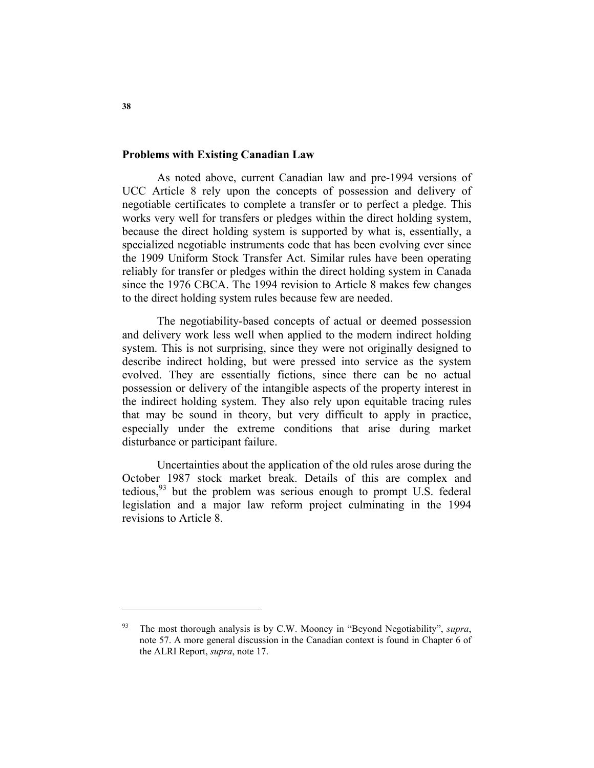### **Problems with Existing Canadian Law**

As noted above, current Canadian law and pre-1994 versions of UCC Article 8 rely upon the concepts of possession and delivery of negotiable certificates to complete a transfer or to perfect a pledge. This works very well for transfers or pledges within the direct holding system, because the direct holding system is supported by what is, essentially, a specialized negotiable instruments code that has been evolving ever since the 1909 Uniform Stock Transfer Act. Similar rules have been operating reliably for transfer or pledges within the direct holding system in Canada since the 1976 CBCA. The 1994 revision to Article 8 makes few changes to the direct holding system rules because few are needed.

The negotiability-based concepts of actual or deemed possession and delivery work less well when applied to the modern indirect holding system. This is not surprising, since they were not originally designed to describe indirect holding, but were pressed into service as the system evolved. They are essentially fictions, since there can be no actual possession or delivery of the intangible aspects of the property interest in the indirect holding system. They also rely upon equitable tracing rules that may be sound in theory, but very difficult to apply in practice, especially under the extreme conditions that arise during market disturbance or participant failure.

Uncertainties about the application of the old rules arose during the October 1987 stock market break. Details of this are complex and tedious,  $93$  but the problem was serious enough to prompt U.S. federal legislation and a major law reform project culminating in the 1994 revisions to Article 8.

**38** 

<sup>93</sup> The most thorough analysis is by C.W. Mooney in "Beyond Negotiability", *supra*, note 57. A more general discussion in the Canadian context is found in Chapter 6 of the ALRI Report, *supra*, note 17.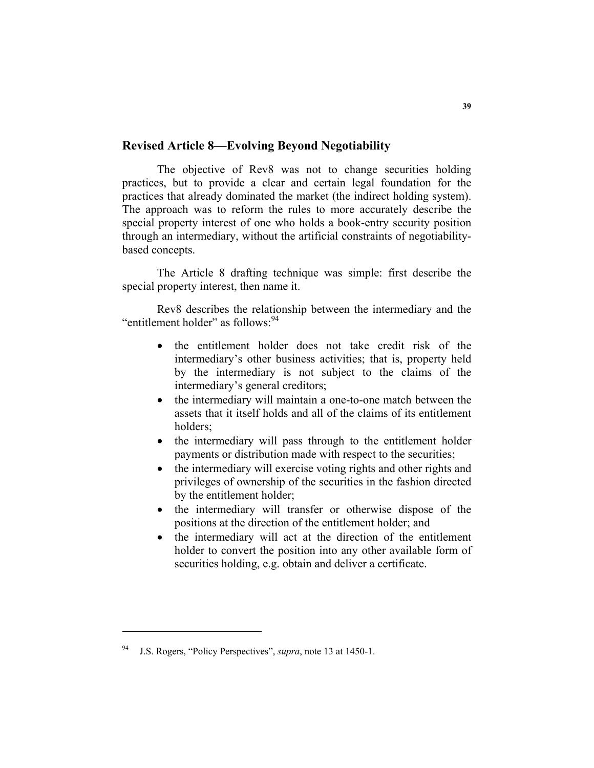## **Revised Article 8—Evolving Beyond Negotiability**

The objective of Rev8 was not to change securities holding practices, but to provide a clear and certain legal foundation for the practices that already dominated the market (the indirect holding system). The approach was to reform the rules to more accurately describe the special property interest of one who holds a book-entry security position through an intermediary, without the artificial constraints of negotiabilitybased concepts.

The Article 8 drafting technique was simple: first describe the special property interest, then name it.

Rev8 describes the relationship between the intermediary and the "entitlement holder" as follows: <sup>94</sup>

- the entitlement holder does not take credit risk of the intermediary's other business activities; that is, property held by the intermediary is not subject to the claims of the intermediary's general creditors;
- the intermediary will maintain a one-to-one match between the assets that it itself holds and all of the claims of its entitlement holders;
- the intermediary will pass through to the entitlement holder payments or distribution made with respect to the securities;
- the intermediary will exercise voting rights and other rights and privileges of ownership of the securities in the fashion directed by the entitlement holder;
- the intermediary will transfer or otherwise dispose of the positions at the direction of the entitlement holder; and
- the intermediary will act at the direction of the entitlement holder to convert the position into any other available form of securities holding, e.g. obtain and deliver a certificate.

<sup>94</sup> J.S. Rogers, "Policy Perspectives", *supra*, note 13 at 1450-1.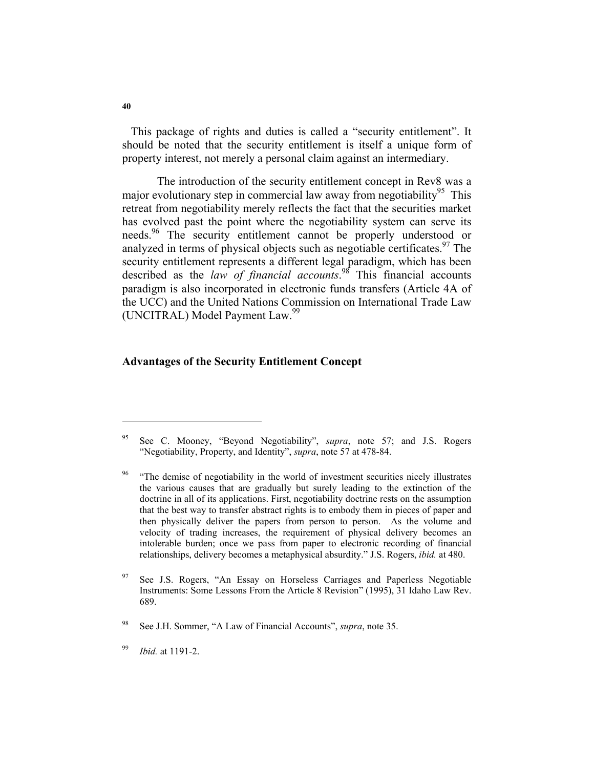This package of rights and duties is called a "security entitlement". It should be noted that the security entitlement is itself a unique form of property interest, not merely a personal claim against an intermediary.

The introduction of the security entitlement concept in Rev8 was a major evolutionary step in commercial law away from negotiability<sup>95</sup> This retreat from negotiability merely reflects the fact that the securities market has evolved past the point where the negotiability system can serve its needs.<sup>96</sup> The security entitlement cannot be properly understood or analyzed in terms of physical objects such as negotiable certificates. <sup>97</sup> The security entitlement represents a different legal paradigm, which has been described as the *law of financial accounts*. 98 This financial accounts paradigm is also incorporated in electronic funds transfers (Article 4A of the UCC) and the United Nations Commission on International Trade Law (UNCITRAL) Model Payment Law.<sup>99</sup>

#### **Advantages of the Security Entitlement Concept**

<sup>95</sup> See C. Mooney, "Beyond Negotiability", *supra*, note 57; and J.S. Rogers "Negotiability, Property, and Identity", *supra*, note 57 at 478-84.

<sup>96 &</sup>quot;The demise of negotiability in the world of investment securities nicely illustrates the various causes that are gradually but surely leading to the extinction of the doctrine in all of its applications. First, negotiability doctrine rests on the assumption that the best way to transfer abstract rights is to embody them in pieces of paper and then physically deliver the papers from person to person. As the volume and velocity of trading increases, the requirement of physical delivery becomes an intolerable burden; once we pass from paper to electronic recording of financial relationships, delivery becomes a metaphysical absurdity." J.S. Rogers, *ibid.* at 480.

See J.S. Rogers, "An Essay on Horseless Carriages and Paperless Negotiable Instruments: Some Lessons From the Article 8 Revision" (1995), 31 Idaho Law Rev. 689.

<sup>98</sup> See J.H. Sommer, "A Law of Financial Accounts", *supra*, note 35.

<sup>99</sup> *Ibid.* at 1191-2.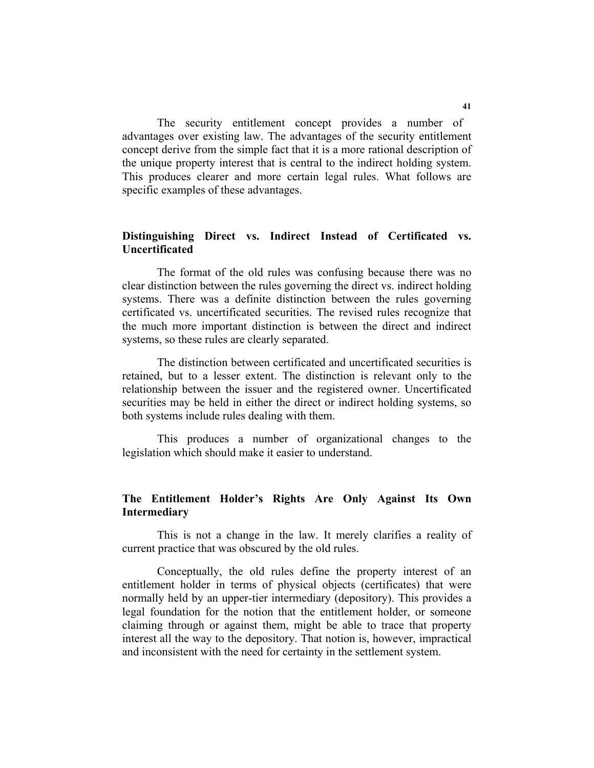The security entitlement concept provides a number of advantages over existing law. The advantages of the security entitlement concept derive from the simple fact that it is a more rational description of the unique property interest that is central to the indirect holding system. This produces clearer and more certain legal rules. What follows are specific examples of these advantages.

## **Distinguishing Direct vs. Indirect Instead of Certificated vs. Uncertificated**

The format of the old rules was confusing because there was no clear distinction between the rules governing the direct vs. indirect holding systems. There was a definite distinction between the rules governing certificated vs. uncertificated securities. The revised rules recognize that the much more important distinction is between the direct and indirect systems, so these rules are clearly separated.

The distinction between certificated and uncertificated securities is retained, but to a lesser extent. The distinction is relevant only to the relationship between the issuer and the registered owner. Uncertificated securities may be held in either the direct or indirect holding systems, so both systems include rules dealing with them.

This produces a number of organizational changes to the legislation which should make it easier to understand.

## **The Entitlement Holder's Rights Are Only Against Its Own Intermediary**

This is not a change in the law. It merely clarifies a reality of current practice that was obscured by the old rules.

Conceptually, the old rules define the property interest of an entitlement holder in terms of physical objects (certificates) that were normally held by an upper-tier intermediary (depository). This provides a legal foundation for the notion that the entitlement holder, or someone claiming through or against them, might be able to trace that property interest all the way to the depository. That notion is, however, impractical and inconsistent with the need for certainty in the settlement system.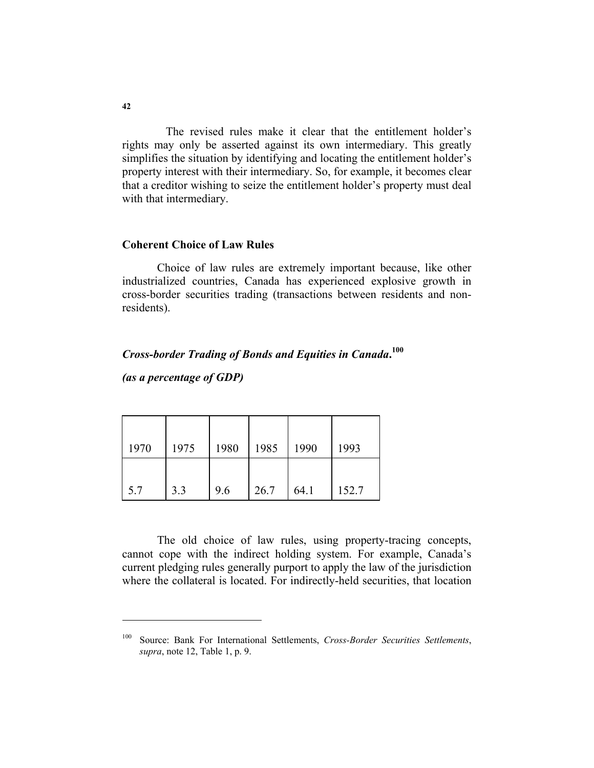The revised rules make it clear that the entitlement holder's rights may only be asserted against its own intermediary. This greatly simplifies the situation by identifying and locating the entitlement holder's property interest with their intermediary. So, for example, it becomes clear that a creditor wishing to seize the entitlement holder's property must deal with that intermediary.

### **Coherent Choice of Law Rules**

Choice of law rules are extremely important because, like other industrialized countries, Canada has experienced explosive growth in cross-border securities trading (transactions between residents and nonresidents).

# *Cross-border Trading of Bonds and Equities in Canada***. 100**

*(as a percentage of GDP)* 

| 1970 | 1975 | 1980 | 1985 | 1990 | 1993  |
|------|------|------|------|------|-------|
| 5.7  | 3.3  | 9.6  | 26.7 | 64.1 | 152.7 |

The old choice of law rules, using property-tracing concepts, cannot cope with the indirect holding system. For example, Canada's current pledging rules generally purport to apply the law of the jurisdiction where the collateral is located. For indirectly-held securities, that location

<sup>100</sup> Source: Bank For International Settlements, *Cross-Border Securities Settlements*, *supra*, note 12, Table 1, p. 9.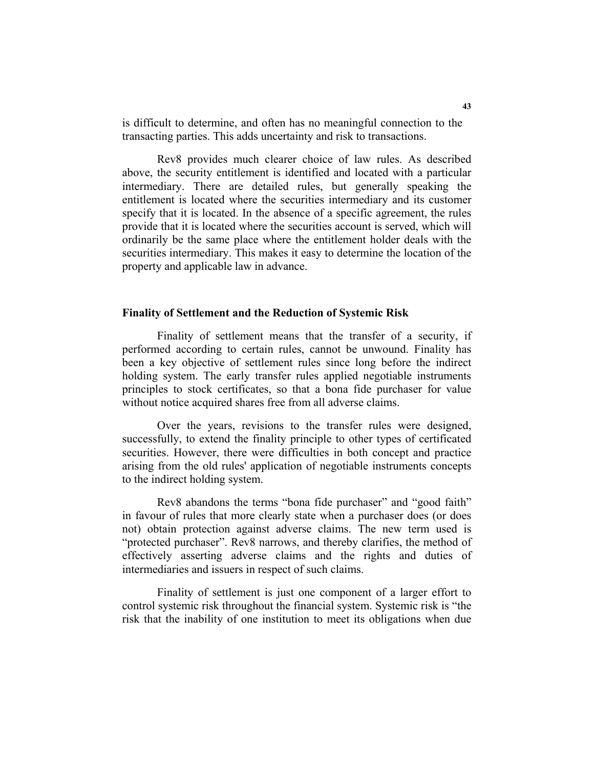is difficult to determine, and often has no meaningful connection to the transacting parties. This adds uncertainty and risk to transactions.

Rev8 provides much clearer choice of law rules. As described above, the security entitlement is identified and located with a particular intermediary. There are detailed rules, but generally speaking the entitlement is located where the securities intermediary and its customer specify that it is located. In the absence of a specific agreement, the rules provide that it is located where the securities account is served, which will ordinarily be the same place where the entitlement holder deals with the securities intermediary. This makes it easy to determine the location of the property and applicable law in advance.

#### **Finality of Settlement and the Reduction of Systemic Risk**

Finality of settlement means that the transfer of a security, if performed according to certain rules, cannot be unwound. Finality has been a key objective of settlement rules since long before the indirect holding system. The early transfer rules applied negotiable instruments principles to stock certificates, so that a bona fide purchaser for value without notice acquired shares free from all adverse claims.

Over the years, revisions to the transfer rules were designed, successfully, to extend the finality principle to other types of certificated securities. However, there were difficulties in both concept and practice arising from the old rules' application of negotiable instruments concepts to the indirect holding system.

Rev8 abandons the terms "bona fide purchaser" and "good faith" in favour of rules that more clearly state when a purchaser does (or does not) obtain protection against adverse claims. The new term used is "protected purchaser". Rev8 narrows, and thereby clarifies, the method of effectively asserting adverse claims and the rights and duties of intermediaries and issuers in respect of such claims.

Finality of settlement is just one component of a larger effort to control systemic risk throughout the financial system. Systemic risk is "the risk that the inability of one institution to meet its obligations when due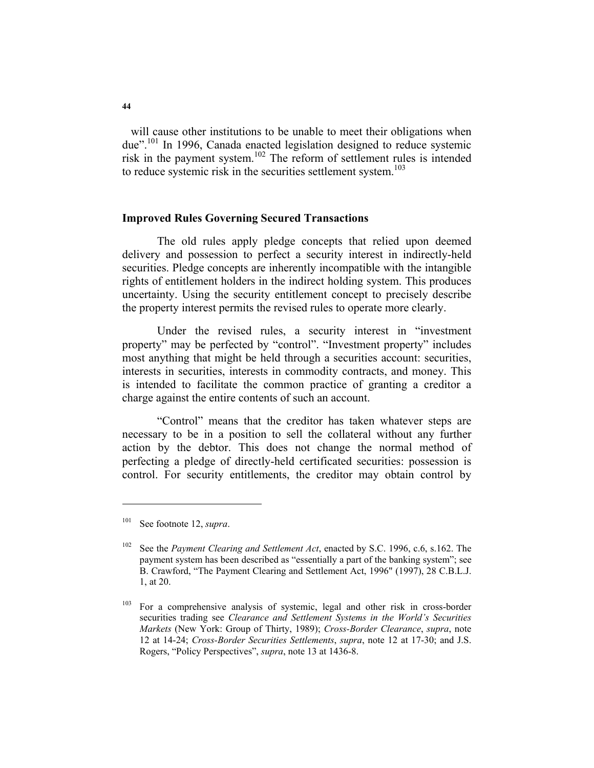will cause other institutions to be unable to meet their obligations when due".<sup>101</sup> In 1996, Canada enacted legislation designed to reduce systemic risk in the payment system.102 The reform of settlement rules is intended to reduce systemic risk in the securities settlement system.<sup>103</sup>

#### **Improved Rules Governing Secured Transactions**

The old rules apply pledge concepts that relied upon deemed delivery and possession to perfect a security interest in indirectly-held securities. Pledge concepts are inherently incompatible with the intangible rights of entitlement holders in the indirect holding system. This produces uncertainty. Using the security entitlement concept to precisely describe the property interest permits the revised rules to operate more clearly.

Under the revised rules, a security interest in "investment property" may be perfected by "control". "Investment property" includes most anything that might be held through a securities account: securities, interests in securities, interests in commodity contracts, and money. This is intended to facilitate the common practice of granting a creditor a charge against the entire contents of such an account.

"Control" means that the creditor has taken whatever steps are necessary to be in a position to sell the collateral without any further action by the debtor. This does not change the normal method of perfecting a pledge of directly-held certificated securities: possession is control. For security entitlements, the creditor may obtain control by

<sup>101</sup> See footnote 12, *supra*.

<sup>102</sup> See the *Payment Clearing and Settlement Act*, enacted by S.C. 1996, c.6, s.162. The payment system has been described as "essentially a part of the banking system"; see B. Crawford, "The Payment Clearing and Settlement Act, 1996" (1997), 28 C.B.L.J. 1, at 20.

<sup>&</sup>lt;sup>103</sup> For a comprehensive analysis of systemic, legal and other risk in cross-border securities trading see *Clearance and Settlement Systems in the World's Securities Markets* (New York: Group of Thirty, 1989); *Cross-Border Clearance*, *supra*, note 12 at 14-24; *Cross-Border Securities Settlements*, *supra*, note 12 at 17-30; and J.S. Rogers, "Policy Perspectives", *supra*, note 13 at 1436-8.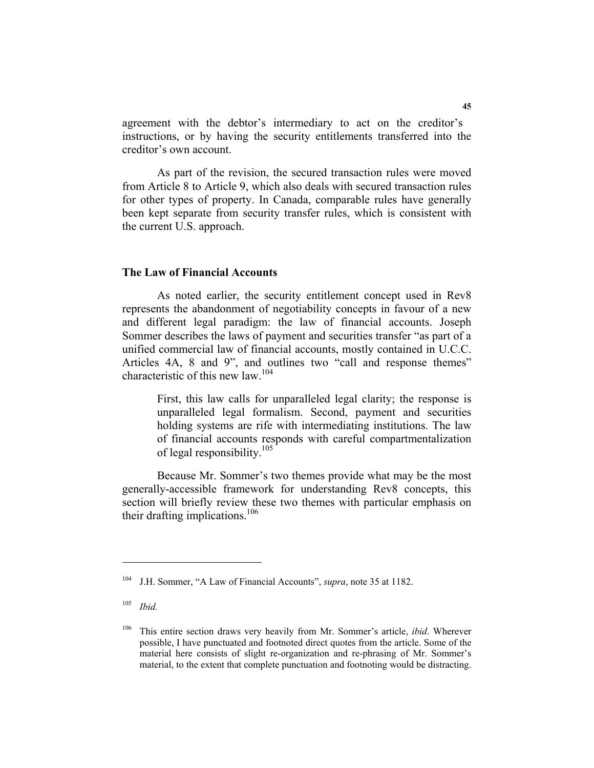agreement with the debtor's intermediary to act on the creditor's instructions, or by having the security entitlements transferred into the creditor's own account.

As part of the revision, the secured transaction rules were moved from Article 8 to Article 9, which also deals with secured transaction rules for other types of property. In Canada, comparable rules have generally been kept separate from security transfer rules, which is consistent with the current U.S. approach.

## **The Law of Financial Accounts**

As noted earlier, the security entitlement concept used in Rev8 represents the abandonment of negotiability concepts in favour of a new and different legal paradigm: the law of financial accounts. Joseph Sommer describes the laws of payment and securities transfer "as part of a unified commercial law of financial accounts, mostly contained in U.C.C. Articles 4A, 8 and 9", and outlines two "call and response themes" characteristic of this new law.<sup>104</sup>

First, this law calls for unparalleled legal clarity; the response is unparalleled legal formalism. Second, payment and securities holding systems are rife with intermediating institutions. The law of financial accounts responds with careful compartmentalization of legal responsibility.<sup>105</sup>

Because Mr. Sommer's two themes provide what may be the most generally-accessible framework for understanding Rev8 concepts, this section will briefly review these two themes with particular emphasis on their drafting implications.<sup>106</sup>

<sup>104</sup> J.H. Sommer, "A Law of Financial Accounts", *supra*, note 35 at 1182.

<sup>105</sup> *Ibid.*

<sup>106</sup> This entire section draws very heavily from Mr. Sommer's article, *ibid*. Wherever possible, I have punctuated and footnoted direct quotes from the article. Some of the material here consists of slight re-organization and re-phrasing of Mr. Sommer's material, to the extent that complete punctuation and footnoting would be distracting.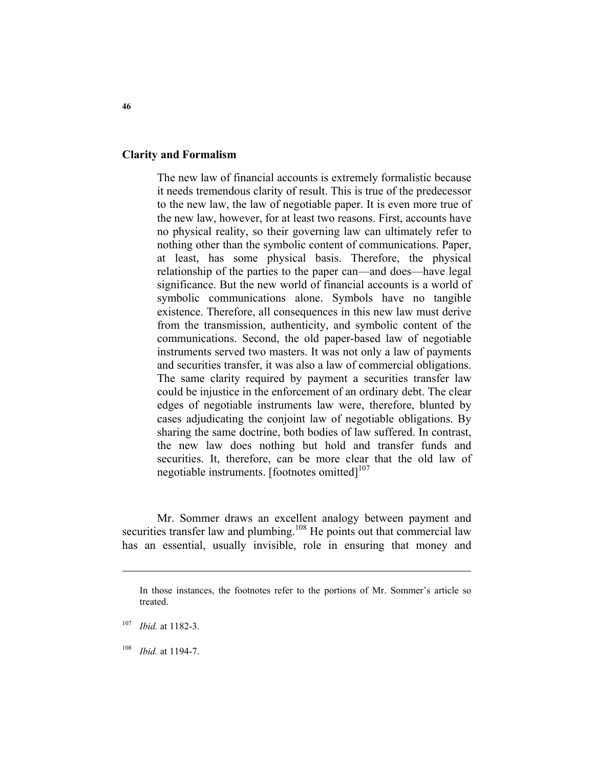### **Clarity and Formalism**

The new law of financial accounts is extremely formalistic because it needs tremendous clarity of result. This is true of the predecessor to the new law, the law of negotiable paper. It is even more true of the new law, however, for at least two reasons. First, accounts have no physical reality, so their governing law can ultimately refer to nothing other than the symbolic content of communications. Paper, at least, has some physical basis. Therefore, the physical relationship of the parties to the paper can—and does—have legal significance. But the new world of financial accounts is a world of symbolic communications alone. Symbols have no tangible existence. Therefore, all consequences in this new law must derive from the transmission, authenticity, and symbolic content of the communications. Second, the old paper-based law of negotiable instruments served two masters. It was not only a law of payments and securities transfer, it was also a law of commercial obligations. The same clarity required by payment a securities transfer law could be injustice in the enforcement of an ordinary debt. The clear edges of negotiable instruments law were, therefore, blunted by cases adjudicating the conjoint law of negotiable obligations. By sharing the same doctrine, both bodies of law suffered. In contrast, the new law does nothing but hold and transfer funds and securities. It, therefore, can be more clear that the old law of negotiable instruments. [footnotes omitted] $107$ 

Mr. Sommer draws an excellent analogy between payment and securities transfer law and plumbing.<sup>108</sup> He points out that commercial law has an essential, usually invisible, role in ensuring that money and

<sup>108</sup> *Ibid.* at 1194-7.

In those instances, the footnotes refer to the portions of Mr. Sommer's article so treated.

<sup>107</sup> *Ibid.* at 1182-3.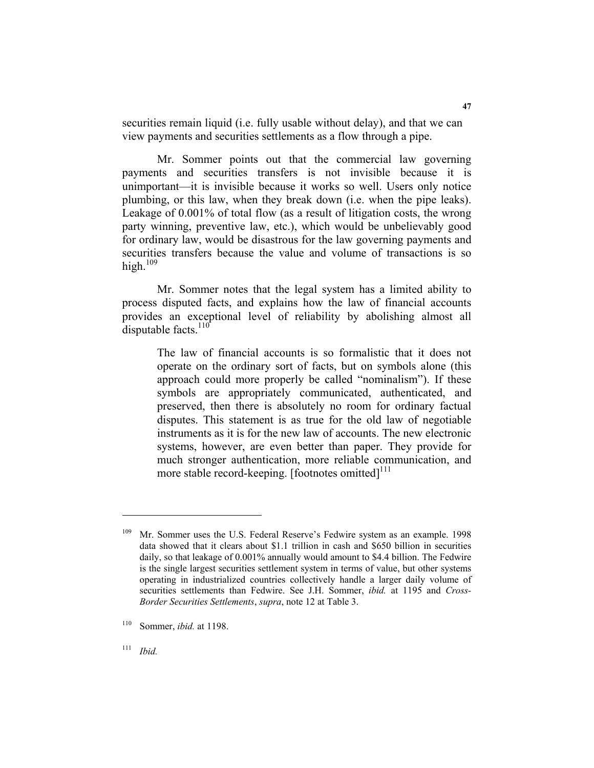securities remain liquid (i.e. fully usable without delay), and that we can view payments and securities settlements as a flow through a pipe.

Mr. Sommer points out that the commercial law governing payments and securities transfers is not invisible because it is unimportant—it is invisible because it works so well. Users only notice plumbing, or this law, when they break down (i.e. when the pipe leaks). Leakage of 0.001% of total flow (as a result of litigation costs, the wrong party winning, preventive law, etc.), which would be unbelievably good for ordinary law, would be disastrous for the law governing payments and securities transfers because the value and volume of transactions is so high. $109$ 

Mr. Sommer notes that the legal system has a limited ability to process disputed facts, and explains how the law of financial accounts provides an exceptional level of reliability by abolishing almost all disputable facts. $110^4$ 

The law of financial accounts is so formalistic that it does not operate on the ordinary sort of facts, but on symbols alone (this approach could more properly be called "nominalism"). If these symbols are appropriately communicated, authenticated, and preserved, then there is absolutely no room for ordinary factual disputes. This statement is as true for the old law of negotiable instruments as it is for the new law of accounts. The new electronic systems, however, are even better than paper. They provide for much stronger authentication, more reliable communication, and more stable record-keeping. [footnotes omitted] $111$ ]

<sup>&</sup>lt;sup>109</sup> Mr. Sommer uses the U.S. Federal Reserve's Fedwire system as an example. 1998 data showed that it clears about \$1.1 trillion in cash and \$650 billion in securities daily, so that leakage of 0.001% annually would amount to \$4.4 billion. The Fedwire is the single largest securities settlement system in terms of value, but other systems operating in industrialized countries collectively handle a larger daily volume of securities settlements than Fedwire. See J.H. Sommer, *ibid.* at 1195 and *Cross-Border Securities Settlements*, *supra*, note 12 at Table 3.

<sup>110</sup> Sommer, *ibid.* at 1198.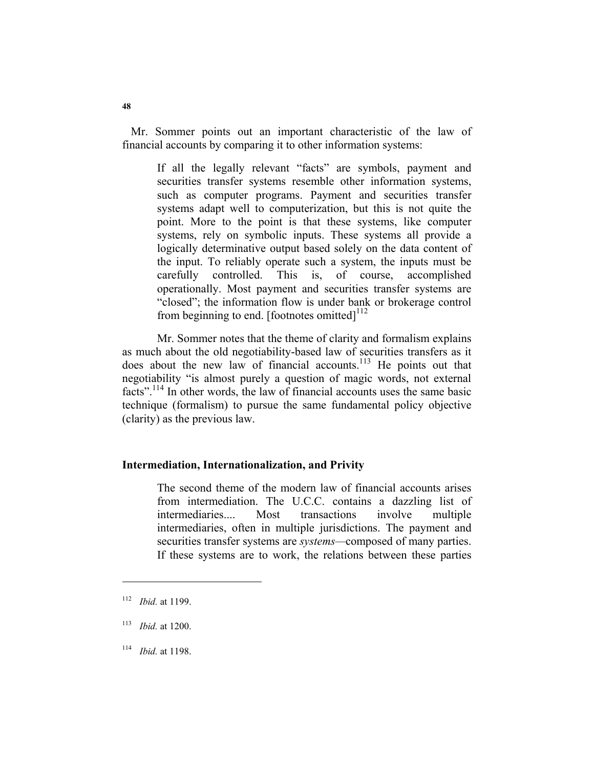Mr. Sommer points out an important characteristic of the law of financial accounts by comparing it to other information systems:

If all the legally relevant "facts" are symbols, payment and securities transfer systems resemble other information systems, such as computer programs. Payment and securities transfer systems adapt well to computerization, but this is not quite the point. More to the point is that these systems, like computer systems, rely on symbolic inputs. These systems all provide a logically determinative output based solely on the data content of the input. To reliably operate such a system, the inputs must be carefully controlled. This is, of course, accomplished operationally. Most payment and securities transfer systems are "closed"; the information flow is under bank or brokerage control from beginning to end. [footnotes omitted] $^{112}$ 

Mr. Sommer notes that the theme of clarity and formalism explains as much about the old negotiability-based law of securities transfers as it does about the new law of financial accounts.<sup>113</sup> He points out that negotiability "is almost purely a question of magic words, not external facts".<sup>114</sup> In other words, the law of financial accounts uses the same basic technique (formalism) to pursue the same fundamental policy objective (clarity) as the previous law.

## **Intermediation, Internationalization, and Privity**

The second theme of the modern law of financial accounts arises from intermediation. The U.C.C. contains a dazzling list of intermediaries.... Most transactions involve multiple intermediaries, often in multiple jurisdictions. The payment and securities transfer systems are *systems—*composed of many parties. If these systems are to work, the relations between these parties

<sup>112</sup> *Ibid.* at 1199.

<sup>113</sup> *Ibid.* at 1200.

<sup>114</sup> *Ibid.* at 1198.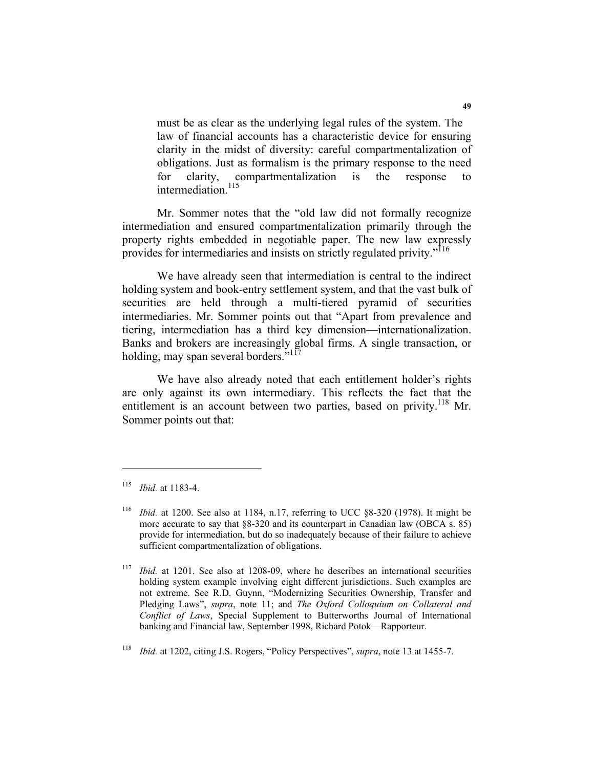must be as clear as the underlying legal rules of the system. The law of financial accounts has a characteristic device for ensuring clarity in the midst of diversity: careful compartmentalization of obligations. Just as formalism is the primary response to the need for clarity, compartmentalization is the response to intermediation.<sup>115</sup>

Mr. Sommer notes that the "old law did not formally recognize intermediation and ensured compartmentalization primarily through the property rights embedded in negotiable paper. The new law expressly provides for intermediaries and insists on strictly regulated privity."116

We have already seen that intermediation is central to the indirect holding system and book-entry settlement system, and that the vast bulk of securities are held through a multi-tiered pyramid of securities intermediaries. Mr. Sommer points out that "Apart from prevalence and tiering, intermediation has a third key dimension—internationalization. Banks and brokers are increasingly global firms. A single transaction, or holding, may span several borders." $117$ 

We have also already noted that each entitlement holder's rights are only against its own intermediary. This reflects the fact that the entitlement is an account between two parties, based on privity.<sup>118</sup> Mr. Sommer points out that:

<sup>115</sup> *Ibid.* at 1183-4.

<sup>116</sup> *Ibid.* at 1200. See also at 1184, n.17, referring to UCC §8-320 (1978). It might be more accurate to say that §8-320 and its counterpart in Canadian law (OBCA s. 85) provide for intermediation, but do so inadequately because of their failure to achieve sufficient compartmentalization of obligations.

<sup>117</sup> *Ibid.* at 1201. See also at 1208-09, where he describes an international securities holding system example involving eight different jurisdictions. Such examples are not extreme. See R.D. Guynn, "Modernizing Securities Ownership, Transfer and Pledging Laws", *supra*, note 11; and *The Oxford Colloquium on Collateral and Conflict of Laws*, Special Supplement to Butterworths Journal of International banking and Financial law, September 1998, Richard Potok—Rapporteur.

<sup>118</sup> *Ibid.* at 1202, citing J.S. Rogers, "Policy Perspectives", *supra*, note 13 at 1455-7.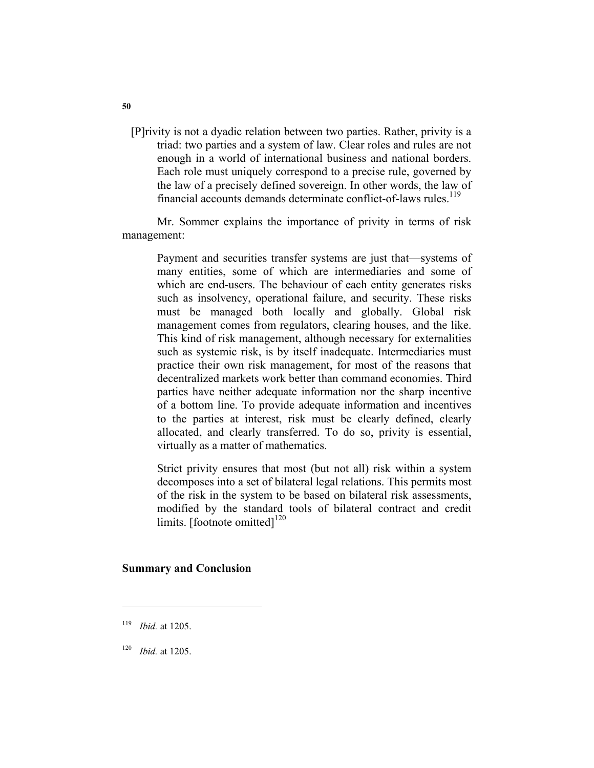[P]rivity is not a dyadic relation between two parties. Rather, privity is a triad: two parties and a system of law. Clear roles and rules are not enough in a world of international business and national borders. Each role must uniquely correspond to a precise rule, governed by the law of a precisely defined sovereign. In other words, the law of financial accounts demands determinate conflict-of-laws rules.<sup>119</sup>

Mr. Sommer explains the importance of privity in terms of risk management:

> Payment and securities transfer systems are just that—systems of many entities, some of which are intermediaries and some of which are end-users. The behaviour of each entity generates risks such as insolvency, operational failure, and security. These risks must be managed both locally and globally. Global risk management comes from regulators, clearing houses, and the like. This kind of risk management, although necessary for externalities such as systemic risk, is by itself inadequate. Intermediaries must practice their own risk management, for most of the reasons that decentralized markets work better than command economies. Third parties have neither adequate information nor the sharp incentive of a bottom line. To provide adequate information and incentives to the parties at interest, risk must be clearly defined, clearly allocated, and clearly transferred. To do so, privity is essential, virtually as a matter of mathematics.

> Strict privity ensures that most (but not all) risk within a system decomposes into a set of bilateral legal relations. This permits most of the risk in the system to be based on bilateral risk assessments, modified by the standard tools of bilateral contract and credit limits. [footnote omitted] $^{120}$

#### **Summary and Conclusion**

<sup>119</sup> *Ibid.* at 1205.

<sup>120</sup> *Ibid.* at 1205.